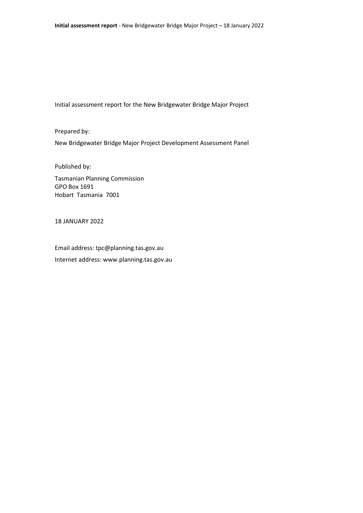Initial assessment report for the New Bridgewater Bridge Major Project

Prepared by: New Bridgewater Bridge Major Project Development Assessment Panel

Published by:

Tasmanian Planning Commission GPO Box 1691 Hobart Tasmania 7001

18 JANUARY 2022

Email address: tpc@planning.tas.gov.au Internet address: www.planning.tas.gov.au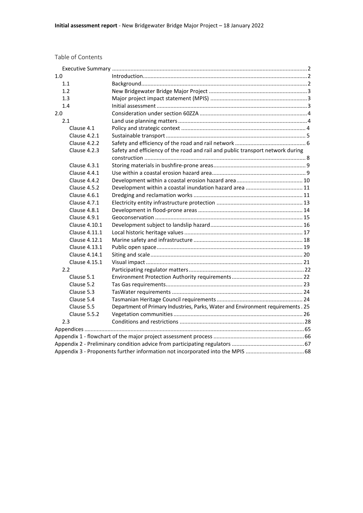| Table of Contents |  |
|-------------------|--|
|-------------------|--|

| 1.0           |                                                                                  |  |
|---------------|----------------------------------------------------------------------------------|--|
| 1.1           |                                                                                  |  |
| 1.2           |                                                                                  |  |
| 1.3           |                                                                                  |  |
| 1.4           |                                                                                  |  |
| 2.0           |                                                                                  |  |
| 2.1           |                                                                                  |  |
| Clause 4.1    |                                                                                  |  |
| Clause 4.2.1  |                                                                                  |  |
| Clause 4.2.2  |                                                                                  |  |
| Clause 4.2.3  | Safety and efficiency of the road and rail and public transport network during   |  |
|               |                                                                                  |  |
| Clause 4.3.1  |                                                                                  |  |
| Clause 4.4.1  |                                                                                  |  |
| Clause 4.4.2  |                                                                                  |  |
| Clause 4.5.2  |                                                                                  |  |
| Clause 4.6.1  |                                                                                  |  |
| Clause 4.7.1  |                                                                                  |  |
| Clause 4.8.1  |                                                                                  |  |
| Clause 4.9.1  |                                                                                  |  |
| Clause 4.10.1 |                                                                                  |  |
| Clause 4.11.1 |                                                                                  |  |
| Clause 4.12.1 |                                                                                  |  |
| Clause 4.13.1 |                                                                                  |  |
| Clause 4.14.1 |                                                                                  |  |
| Clause 4.15.1 |                                                                                  |  |
| 2.2           |                                                                                  |  |
| Clause 5.1    |                                                                                  |  |
| Clause 5.2    |                                                                                  |  |
| Clause 5.3    |                                                                                  |  |
| Clause 5.4    |                                                                                  |  |
| Clause 5.5    | Department of Primary Industries, Parks, Water and Environment requirements . 25 |  |
| Clause 5.5.2  |                                                                                  |  |
| 2.3           |                                                                                  |  |
|               |                                                                                  |  |
|               |                                                                                  |  |
|               |                                                                                  |  |
|               | Appendix 3 - Proponents further information not incorporated into the MPIS  68   |  |
|               |                                                                                  |  |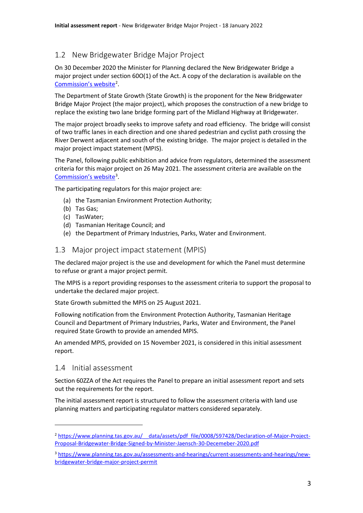# <span id="page-4-0"></span>1.2 New Bridgewater Bridge Major Project

On 30 December 2020 the Minister for Planning declared the New Bridgewater Bridge a major project under section 60O(1) of the Act. A copy of the declaration is available on the [Commission's website](https://www.planning.tas.gov.au/__data/assets/pdf_file/0008/597428/Declaration-of-Major-Project-Proposal-Bridgewater-Bridge-Signed-by-Minister-Jaensch-30-Decemeber-2020.pdf)<sup>[2](#page-4-3)</sup>.

The Department of State Growth (State Growth) is the proponent for the New Bridgewater Bridge Major Project (the major project), which proposes the construction of a new bridge to replace the existing two lane bridge forming part of the Midland Highway at Bridgewater.

The major project broadly seeks to improve safety and road efficiency. The bridge will consist of two traffic lanes in each direction and one shared pedestrian and cyclist path crossing the River Derwent adjacent and south of the existing bridge. The major project is detailed in the major project impact statement (MPIS).

The Panel, following public exhibition and advice from regulators, determined the assessment criteria for this major project on 26 May 2021. The assessment criteria are available on the [Commission's website](https://www.planning.tas.gov.au/__data/assets/pdf_file/0005/604814/Major-Project-Assessment-Process.pdf)<sup>[3](#page-4-4)</sup>.

The participating regulators for this major project are:

- (a) the Tasmanian Environment Protection Authority;
- (b) Tas Gas;
- (c) TasWater;
- (d) Tasmanian Heritage Council; and
- (e) the Department of Primary Industries, Parks, Water and Environment.

## <span id="page-4-1"></span>1.3 Major project impact statement (MPIS)

The declared major project is the use and development for which the Panel must determine to refuse or grant a major project permit.

The MPIS is a report providing responses to the assessment criteria to support the proposal to undertake the declared major project.

State Growth submitted the MPIS on 25 August 2021.

Following notification from the Environment Protection Authority, Tasmanian Heritage Council and Department of Primary Industries, Parks, Water and Environment, the Panel required State Growth to provide an amended MPIS.

An amended MPIS, provided on 15 November 2021, is considered in this initial assessment report.

## <span id="page-4-2"></span>1.4 Initial assessment

Section 60ZZA of the Act requires the Panel to prepare an initial assessment report and sets out the requirements for the report.

The initial assessment report is structured to follow the assessment criteria with land use planning matters and participating regulator matters considered separately.

<span id="page-4-3"></span><sup>&</sup>lt;sup>2</sup> https://www.planning.tas.gov.au/ data/assets/pdf file/0008/597428/Declaration-of-Major-Project-[Proposal-Bridgewater-Bridge-Signed-by-Minister-Jaensch-30-Decemeber-2020.pdf](https://www.planning.tas.gov.au/__data/assets/pdf_file/0008/597428/Declaration-of-Major-Project-Proposal-Bridgewater-Bridge-Signed-by-Minister-Jaensch-30-Decemeber-2020.pdf)

<span id="page-4-4"></span><sup>3</sup> [https://www.planning.tas.gov.au/assessments-and-hearings/current-assessments-and-hearings/new](https://www.planning.tas.gov.au/assessments-and-hearings/current-assessments-and-hearings/new-bridgewater-bridge-major-project-permit)[bridgewater-bridge-major-project-permit](https://www.planning.tas.gov.au/assessments-and-hearings/current-assessments-and-hearings/new-bridgewater-bridge-major-project-permit)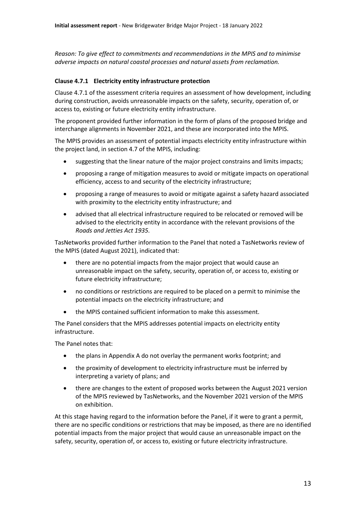*Reason: To give effect to commitments and recommendations in the MPIS and to minimise adverse impacts on natural coastal processes and natural assets from reclamation.*

## <span id="page-14-0"></span>**Clause 4.7.1 Electricity entity infrastructure protection**

Clause 4.7.1 of the assessment criteria requires an assessment of how development, including during construction, avoids unreasonable impacts on the safety, security, operation of, or access to, existing or future electricity entity infrastructure.

The proponent provided further information in the form of plans of the proposed bridge and interchange alignments in November 2021, and these are incorporated into the MPIS.

The MPIS provides an assessment of potential impacts electricity entity infrastructure within the project land, in section 4.7 of the MPIS, including:

- suggesting that the linear nature of the major project constrains and limits impacts;
- proposing a range of mitigation measures to avoid or mitigate impacts on operational efficiency, access to and security of the electricity infrastructure;
- proposing a range of measures to avoid or mitigate against a safety hazard associated with proximity to the electricity entity infrastructure; and
- advi<sup>e</sup> that all electrical infrastructure required to be relocated or removed will be advised to the electricity entity in accordance with the relevant provisions of the *Roads and Jetties Act 1935.*

TasNetworks provided further information to the Panel that noted a TasNetworks review of the MPIS (dated August 2021), indicated that:

- there are no potential impacts from the major project that would cause an unreasonable impact on the safety, security, operation of, or access to, existing or future electricity infrastructure;
- no conditions or restrictions are required to be placed on a permit to minimise the potential impacts on the electricity infrastructure; and
- the MPIS contained sufficient information to make this assessment.

The Panel considers that the MPIS addresses potential impacts on electricity entity infrastructure.

The Panel notes that:

- the plans in Appendix A do not overlay the permanent works footprint; and
- the proximity of development to electricity infrastructure must be inferred by interpreting a variety of plans; and
- there are changes to the extent of proposed works between the August 2021 version of the MPIS reviewed by TasNetworks, and the November 2021 version of the MPIS on exhibition.

At this stage having regard to the information before the Panel, if it were to grant a permit, there are no specific conditions or restrictions that may be imposed, as there are no identified potential impacts from the major project that would cause an unreasonable impact on the safety, security, operation of, or access to, existing or future electricity infrastructure.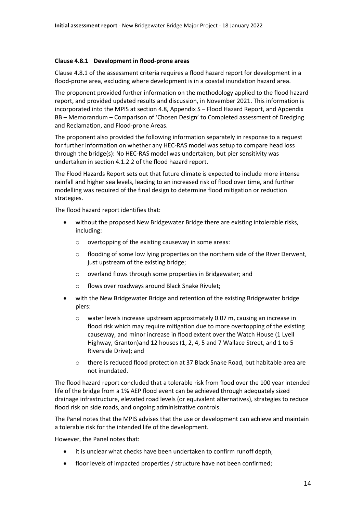#### <span id="page-15-0"></span>**Clause 4.8.1 Development in flood-prone areas**

Clause 4.8.1 of the assessment criteria requires a flood hazard report for development in a flood-prone area, excluding where development is in a coastal inundation hazard area.

The proponent provided further information on the methodology applied to the flood hazard report, and provided updated results and discussion, in November 2021. This information is incorporated into the MPIS at section 4.8, Appendix S – Flood Hazard Report, and Appendix BB – Memorandum – Comparison of 'Chosen Design' to Completed assessment of Dredging and Reclamation, and Flood-prone Areas.

The proponent also provided the following information separately in response to a request for further information on whether any HEC-RAS model was setup to compare head loss through the bridge(s): No HEC-RAS model was undertaken, but pier sensitivity was undertaken in section 4.1.2.2 of the flood hazard report.

The Flood Hazards Report sets out that future climate is expected to include more intense rainfall and higher sea levels, leading to an increased risk of flood over time, and further modelling was required of the final design to determine flood mitigation or reduction strategies.

The flood hazard report identifies that:

- without the proposed New Bridgewater Bridge there are existing intolerable risks, including:
	- o overtopping of the existing causeway in some areas:
	- $\circ$  flooding of some low lying properties on the northern side of the River Derwent, just upstream of the existing bridge;
	- o overland flows through some properties in Bridgewater; and
	- o flows over roadways around Black Snake Rivulet;
- with the New Bridgewater Bridge and retention of the existing Bridgewater bridge piers:
	- o water levels increase upstream approximately 0.07 m, causing an increase in flood risk which may require mitigation due to more overtopping of the existing causeway, and minor increase in flood extent over the Watch House (1 Lyell Highway, Granton)and 12 houses (1, 2, 4, 5 and 7 Wallace Street, and 1 to 5 Riverside Drive); and
	- o there is reduced flood protection at 37 Black Snake Road, but habitable area are not inundated.

The flood hazard report concluded that a tolerable risk from flood over the 100 year intended life of the bridge from a 1% AEP flood event can be achieved through adequately sized drainage infrastructure, elevated road levels (or equivalent alternatives), strategies to reduce flood risk on side roads, and ongoing administrative controls.

The Panel notes that the MPIS advises that the use or development can achieve and maintain a tolerable risk for the intended life of the development.

However, the Panel notes that:

- it is unclear what checks have been undertaken to confirm runoff depth;
- floor levels of impacted properties / structure have not been confirmed;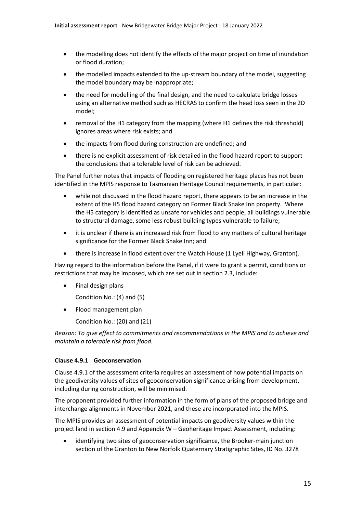- the modelling does not identify the effects of the major project on time of inundation or flood duration;
- the modelled impacts extended to the up-stream boundary of the model, suggesting the model boundary may be inappropriate;
- the need for modelling of the final design, and the need to calculate bridge losses using an alternative method such as HECRAS to confirm the head loss seen in the 2D model;
- removal of the H1 category from the mapping (where H1 defines the risk threshold) ignores areas where risk exists; and
- the impacts from flood during construction are undefined; and
- there is no explicit assessment of risk detailed in the flood hazard report to support the conclusions that a tolerable level of risk can be achieved.

The Panel further notes that impacts of flooding on registered heritage places has not been identified in the MPIS response to Tasmanian Heritage Council requirements, in particular:

- while not discussed in the flood hazard report, there appears to be an increase in the extent of the H5 flood hazard category on Former Black Snake Inn property. Where the H5 category is identified as unsafe for vehicles and people, all buildings vulnerable to structural damage, some less robust building types vulnerable to failure;
- it is unclear if there is an increased risk from flood to any matters of cultural heritage significance for the Former Black Snake Inn; and
- there is increase in flood extent over the Watch House (1 Lyell Highway, Granton).

Having regard to the information before the Panel, if it were to grant a permit, conditions or restrictions that may be imposed, which are set out in section 2.3, include:

• Final design plans

Condition No.: (4) and (5)

• Flood management plan

Condition No.: (20) and (21)

*Reason: To give effect to commitments and recommendations in the MPIS and to achieve and maintain a tolerable risk from flood.*

## <span id="page-16-0"></span>**Clause 4.9.1 Geoconservation**

Clause 4.9.1 of the assessment criteria requires an assessment of how potential impacts on the geodiversity values of sites of geoconservation significance arising from development, including during construction, will be minimised.

The proponent provided further information in the form of plans of the proposed bridge and interchange alignments in November 2021, and these are incorporated into the MPIS.

The MPIS provides an assessment of potential impacts on geodiversity values within the project land in section 4.9 and Appendix W – Geoheritage Impact Assessment, including:

• identifying two sites of geoconservation significance, the Brooker-main junction section of the Granton to New Norfolk Quaternary Stratigraphic Sites, ID No. 3278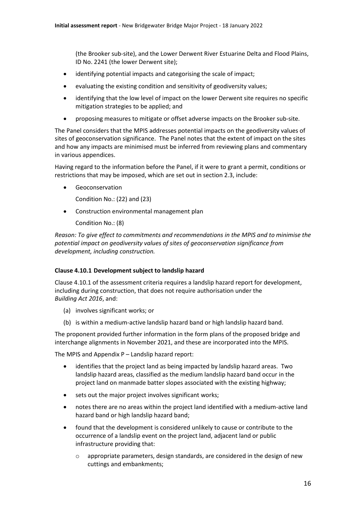(the Brooker sub-site), and the Lower Derwent River Estuarine Delta and Flood Plains, ID No. 2241 (the lower Derwent site);

- identifying potential impacts and categorising the scale of impact;
- evaluating the existing condition and sensitivity of geodiversity values;
- identifying that the low level of impact on the lower Derwent site requires no specific mitigation strategies to be applied; and
- proposing measures to mitigate or offset adverse impacts on the Brooker sub-site.

The Panel considers that the MPIS addresses potential impacts on the geodiversity values of sites of geoconservation significance. The Panel notes that the extent of impact on the sites and how any impacts are minimised must be inferred from reviewing plans and commentary in various appendices.

Having regard to the information before the Panel, if it were to grant a permit, conditions or restrictions that may be imposed, which are set out in section 2.3, include:

**Geoconservation** 

Condition No.: (22) and (23)

• Construction environmental management plan

Condition No.: (8)

*Reason: To give effect to commitments and recommendations in the MPIS and to minimise the potential impact on geodiversity values of sites of geoconservation significance from development, including construction.*

## <span id="page-17-0"></span>**Clause 4.10.1 Development subject to landslip hazard**

Clause 4.10.1 of the assessment criteria requires a landslip hazard report for development, including during construction, that does not require authorisation under the *Building Act 2016*, and:

- (a) involves significant works; or
- (b) is within a medium-active landslip hazard band or high landslip hazard band.

The proponent provided further information in the form plans of the proposed bridge and interchange alignments in November 2021, and these are incorporated into the MPIS.

The MPIS and Appendix P – Landslip hazard report:

- identifies that the project land as being impacted by landslip hazard areas. Two landslip hazard areas, classified as the medium landslip hazard band occur in the project land on manmade batter slopes associated with the existing highway;
- sets out the major project involves significant works;
- notes there are no areas within the project land identified with a medium-active land hazard band or high landslip hazard band;
- found that the development is considered unlikely to cause or contribute to the occurrence of a landslip event on the project land, adjacent land or public infrastructure providing that:
	- appropriate parameters, design standards, are considered in the design of new cuttings and embankments;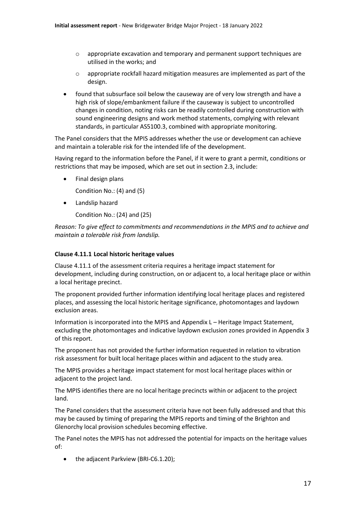- o appropriate excavation and temporary and permanent support techniques are utilised in the works; and
- o appropriate rockfall hazard mitigation measures are implemented as part of the design.
- found that subsurface soil below the causeway are of very low strength and have a high risk of slope/embankment failure if the causeway is subject to uncontrolled changes in condition, noting risks can be readily controlled during construction with sound engineering designs and work method statements, complying with relevant standards, in particular AS5100.3, combined with appropriate monitoring.

The Panel considers that the MPIS addresses whether the use or development can achieve and maintain a tolerable risk for the intended life of the development.

Having regard to the information before the Panel, if it were to grant a permit, conditions or restrictions that may be imposed, which are set out in section 2.3, include:

• Final design plans

Condition No.: (4) and (5)

• Landslip hazard

Condition No.: (24) and (25)

*Reason: To give effect to commitments and recommendations in the MPIS and to achieve and maintain a tolerable risk from landslip.*

#### <span id="page-18-0"></span>**Clause 4.11.1 Local historic heritage values**

Clause 4.11.1 of the assessment criteria requires a heritage impact statement for development, including during construction, on or adjacent to, a local heritage place or within a local heritage precinct.

The proponent provided further information identifying local heritage places and registered places, and assessing the local historic heritage significance, photomontages and laydown exclusion areas.

Information is incorporated into the MPIS and Appendix L – Heritage Impact Statement, excluding the photomontages and indicative laydown exclusion zones provided in Appendix 3 of this report.

The proponent has not provided the further information requested in relation to vibration risk assessment for built local heritage places within and adjacent to the study area.

The MPIS provides a heritage impact statement for most local heritage places within or adjacent to the project land.

The MPIS identifies there are no local heritage precincts within or adjacent to the project land.

The Panel considers that the assessment criteria have not been fully addressed and that this may be caused by timing of preparing the MPIS reports and timing of the Brighton and Glenorchy local provision schedules becoming effective.

The Panel notes the MPIS has not addressed the potential for impacts on the heritage values of:

• the adjacent Parkview (BRI-C6.1.20);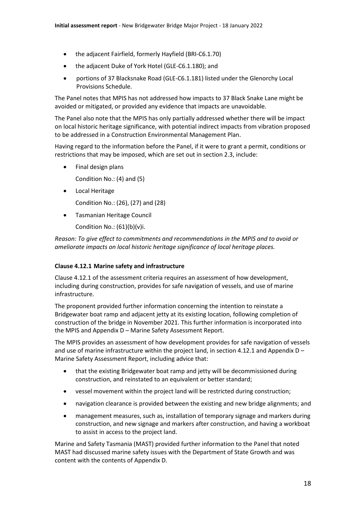- the adjacent Fairfield, formerly Hayfield (BRI-C6.1.70)
- the adjacent Duke of York Hotel (GLE-C6.1.180); and
- portions of 37 Blacksnake Road (GLE-C6.1.181) listed under the Glenorchy Local Provisions Schedule.

The Panel notes that MPIS has not addressed how impacts to 37 Black Snake Lane might be avoided or mitigated, or provided any evidence that impacts are unavoidable.

The Panel also note that the MPIS has only partially addressed whether there will be impact on local historic heritage significance, with potential indirect impacts from vibration proposed to be addressed in a Construction Environmental Management Plan.

Having regard to the information before the Panel, if it were to grant a permit, conditions or restrictions that may be imposed, which are set out in section 2.3, include:

• Final design plans

Condition No.: (4) and (5)

• Local Heritage

Condition No.: (26), (27) and (28)

• Tasmanian Heritage Council Condition No.: (61)(b)(v)i.

*Reason: To give effect to commitments and recommendations in the MPIS and to avoid or ameliorate impacts on local historic heritage significance of local heritage places.* 

## <span id="page-19-0"></span>**Clause 4.12.1 Marine safety and infrastructure**

Clause 4.12.1 of the assessment criteria requires an assessment of how development, including during construction, provides for safe navigation of vessels, and use of marine infrastructure.

The proponent provided further information concerning the intention to reinstate a Bridgewater boat ramp and adjacent jetty at its existing location, following completion of construction of the bridge in November 2021. This further information is incorporated into the MPIS and Appendix D – Marine Safety Assessment Report.

The MPIS provides an assessment of how development provides for safe navigation of vessels and use of marine infrastructure within the project land, in section 4.12.1 and Appendix  $D -$ Marine Safety Assessment Report, including advice that:

- the existing Bridgewater boat ramp and jetty will be decommissioned during construction, and reinstated to an equivalent or better standard;
- vessel movement within the project land will be restricted during construction;
- navigation clearance is provided between the existing and new bridge alignments; and
- management measures, such as, installation of temporary signage and markers during construction, and new signage and markers after construction, and having a workboat to assist in access to the project land.

Marine and Safety Tasmania (MAST) provided further information to the Panel that noted MAST had discussed marine safety issues with the Department of State Growth and was content with the contents of Appendix D.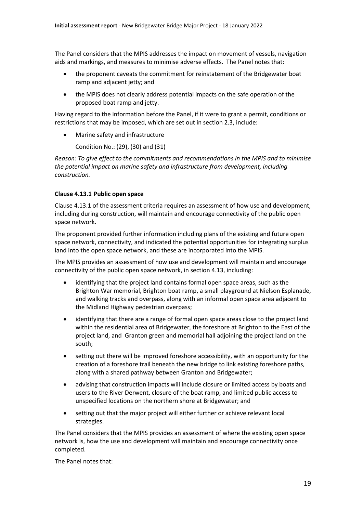The Panel considers that the MPIS addresses the impact on movement of vessels, navigation aids and markings, and measures to minimise adverse effects. The Panel notes that:

- the proponent caveats the commitment for reinstatement of the Bridgewater boat ramp and adjacent jetty; and
- the MPIS does not clearly address potential impacts on the safe operation of the proposed boat ramp and jetty.

Having regard to the information before the Panel, if it were to grant a permit, conditions or restrictions that may be imposed, which are set out in section 2.3, include:

• Marine safety and infrastructure

Condition No.: (29), (30) and (31)

*Reason: To give effect to the commitments and recommendations in the MPIS and to minimise the potential impact on marine safety and infrastructure from development, including construction.*

## <span id="page-20-0"></span>**Clause 4.13.1 Public open space**

Clause 4.13.1 of the assessment criteria requires an assessment of how use and development, including during construction, will maintain and encourage connectivity of the public open space network.

The proponent provided further information including plans of the existing and future open space network, connectivity, and indicated the potential opportunities for integrating surplus land into the open space network, and these are incorporated into the MPIS.

The MPIS provides an assessment of how use and development will maintain and encourage connectivity of the public open space network, in section 4.13, including:

- identifying that the project land contains formal open space areas, such as the Brighton War memorial, Brighton boat ramp, a small playground at Nielson Esplanade, and walking tracks and overpass, along with an informal open space area adjacent to the Midland Highway pedestrian overpass;
- identifying that there are a range of formal open space areas close to the project land within the residential area of Bridgewater, the foreshore at Brighton to the East of the project land, and Granton green and memorial hall adjoining the project land on the south;
- setting out there will be improved foreshore accessibility, with an opportunity for the creation of a foreshore trail beneath the new bridge to link existing foreshore paths, along with a shared pathway between Granton and Bridgewater;
- advising that construction impacts will include closure or limited access by boats and users to the River Derwent, closure of the boat ramp, and limited public access to unspecified locations on the northern shore at Bridgewater; and
- setting out that the major project will either further or achieve relevant local strategies.

The Panel considers that the MPIS provides an assessment of where the existing open space network is, how the use and development will maintain and encourage connectivity once completed.

The Panel notes that: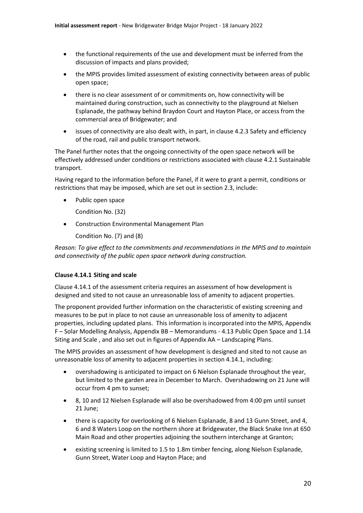- the functional requirements of the use and development must be inferred from the discussion of impacts and plans provided;
- the MPIS provides limited assessment of existing connectivity between areas of public open space;
- there is no clear assessment of or commitments on, how connectivity will be maintained during construction, such as connectivity to the playground at Nielsen Esplanade, the pathway behind Braydon Court and Hayton Place, or access from the commercial area of Bridgewater; and
- issues of connectivity are also dealt with, in part, in clause 4.2.3 Safety and efficiency of the road, rail and public transport network.

The Panel further notes that the ongoing connectivity of the open space network will be effectively addressed under conditions or restrictions associated with clause 4.2.1 Sustainable transport.

Having regard to the information before the Panel, if it were to grant a permit, conditions or restrictions that may be imposed, which are set out in section 2.3, include:

Public open space

Condition No. (32)

• Construction Environmental Management Plan

Condition No. (7) and (8)

*Reason: To give effect to the commitments and recommendations in the MPIS and to maintain and connectivity of the public open space network during construction.*

## <span id="page-21-0"></span>**Clause 4.14.1 Siting and scale**

Clause 4.14.1 of the assessment criteria requires an assessment of how development is designed and sited to not cause an unreasonable loss of amenity to adjacent properties.

The proponent provided further information on the characteristic of existing screening and measures to be put in place to not cause an unreasonable loss of amenity to adjacent properties, including updated plans. This information is incorporated into the MPIS, Appendix F – Solar Modelling Analysis, Appendix BB – Memorandums - 4.13 Public Open Space and 1.14 Siting and Scale , and also set out in figures of Appendix AA – Landscaping Plans.

The MPIS provides an assessment of how development is designed and sited to not cause an unreasonable loss of amenity to adjacent properties in section 4.14.1, including:

- overshadowing is anticipated to impact on 6 Nielson Esplanade throughout the year, but limited to the garden area in December to March. Overshadowing on 21 June will occur from 4 pm to sunset;
- 8, 10 and 12 Nielsen Esplanade will also be overshadowed from 4:00 pm until sunset 21 June;
- there is capacity for overlooking of 6 Nielsen Esplanade, 8 and 13 Gunn Street, and 4, 6 and 8 Waters Loop on the northern shore at Bridgewater, the Black Snake Inn at 650 Main Road and other properties adjoining the southern interchange at Granton;
- existing screening is limited to 1.5 to 1.8m timber fencing, along Nielson Esplanade, Gunn Street, Water Loop and Hayton Place; and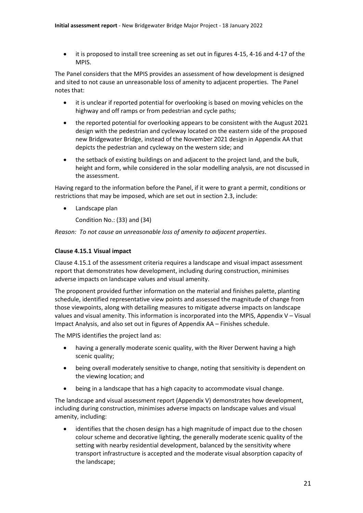• it is proposed to install tree screening as set out in figures 4-15, 4-16 and 4-17 of the MPIS.

The Panel considers that the MPIS provides an assessment of how development is designed and sited to not cause an unreasonable loss of amenity to adjacent properties. The Panel notes that:

- it is unclear if reported potential for overlooking is based on moving vehicles on the highway and off ramps or from pedestrian and cycle paths;
- the reported potential for overlooking appears to be consistent with the August 2021 design with the pedestrian and cycleway located on the eastern side of the proposed new Bridgewater Bridge, instead of the November 2021 design in Appendix AA that depicts the pedestrian and cycleway on the western side; and
- the setback of existing buildings on and adjacent to the project land, and the bulk, height and form, while considered in the solar modelling analysis, are not discussed in the assessment.

Having regard to the information before the Panel, if it were to grant a permit, conditions or restrictions that may be imposed, which are set out in section 2.3, include:

• Landscape plan

Condition No.: (33) and (34)

*Reason: To not cause an unreasonable loss of amenity to adjacent properties*.

## <span id="page-22-0"></span>**Clause 4.15.1 Visual impact**

Clause 4.15.1 of the assessment criteria requires a landscape and visual impact assessment report that demonstrates how development, including during construction, minimises adverse impacts on landscape values and visual amenity.

The proponent provided further information on the material and finishes palette, planting schedule, identified representative view points and assessed the magnitude of change from those viewpoints, along with detailing measures to mitigate adverse impacts on landscape values and visual amenity. This information is incorporated into the MPIS, Appendix  $V - V$ isual Impact Analysis, and also set out in figures of Appendix AA – Finishes schedule.

The MPIS identifies the project land as:

- having a generally moderate scenic quality, with the River Derwent having a high scenic quality;
- being overall moderately sensitive to change, noting that sensitivity is dependent on the viewing location; and
- being in a landscape that has a high capacity to accommodate visual change.

The landscape and visual assessment report (Appendix V) demonstrates how development, including during construction, minimises adverse impacts on landscape values and visual amenity, including:

identifies that the chosen design has a high magnitude of impact due to the chosen colour scheme and decorative lighting, the generally moderate scenic quality of the setting with nearby residential development, balanced by the sensitivity where transport infrastructure is accepted and the moderate visual absorption capacity of the landscape;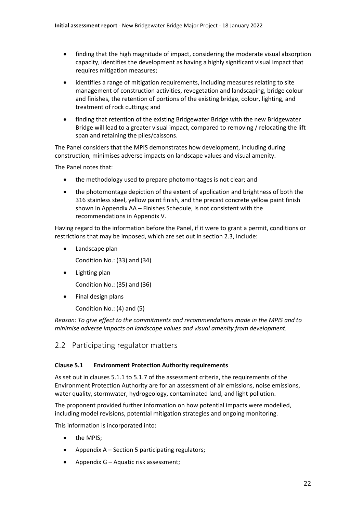- finding that the high magnitude of impact, considering the moderate visual absorption capacity, identifies the development as having a highly significant visual impact that requires mitigation measures;
- identifies a range of mitigation requirements, including measures relating to site management of construction activities, revegetation and landscaping, bridge colour and finishes, the retention of portions of the existing bridge, colour, lighting, and treatment of rock cuttings; and
- finding that retention of the existing Bridgewater Bridge with the new Bridgewater Bridge will lead to a greater visual impact, compared to removing / relocating the lift span and retaining the piles/caissons.

The Panel considers that the MPIS demonstrates how development, including during construction, minimises adverse impacts on landscape values and visual amenity.

The Panel notes that:

- the methodology used to prepare photomontages is not clear; and
- the photomontage depiction of the extent of application and brightness of both the 316 stainless steel, yellow paint finish, and the precast concrete yellow paint finish shown in Appendix AA – Finishes Schedule, is not consistent with the recommendations in Appendix V.

Having regard to the information before the Panel, if it were to grant a permit, conditions or restrictions that may be imposed, which are set out in section 2.3, include:

• Landscape plan

Condition No.: (33) and (34)

• Lighting plan

Condition No.: (35) and (36)

• Final design plans

Condition No.: (4) and (5)

*Reason: To give effect to the commitments and recommendations made in the MPIS and to minimise adverse impacts on landscape values and visual amenity from development.*

## <span id="page-23-0"></span>2.2 Participating regulator matters

## <span id="page-23-1"></span>**Clause 5.1 Environment Protection Authority requirements**

As set out in clauses 5.1.1 to 5.1.7 of the assessment criteria, the requirements of the Environment Protection Authority are for an assessment of air emissions, noise emissions, water quality, stormwater, hydrogeology, contaminated land, and light pollution.

The proponent provided further information on how potential impacts were modelled, including model revisions, potential mitigation strategies and ongoing monitoring.

This information is incorporated into:

- the MPIS;
- Appendix A Section 5 participating regulators;
- Appendix G Aquatic risk assessment;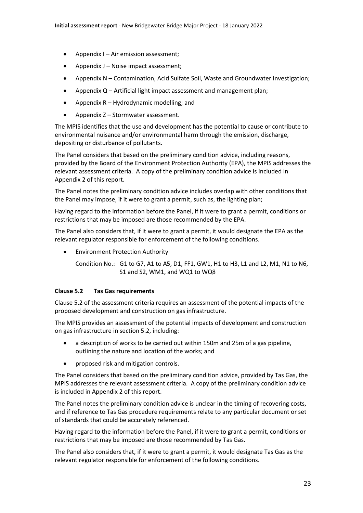- Appendix I Air emission assessment;
- Appendix J Noise impact assessment;
- Appendix N Contamination, Acid Sulfate Soil, Waste and Groundwater Investigation;
- Appendix Q Artificial light impact assessment and management plan;
- Appendix R Hydrodynamic modelling; and
- Appendix Z Stormwater assessment.

The MPIS identifies that the use and development has the potential to cause or contribute to environmental nuisance and/or environmental harm through the emission, discharge, depositing or disturbance of pollutants.

The Panel considers that based on the preliminary condition advice, including reasons, provided by the Board of the Environment Protection Authority (EPA), the MPIS addresses the relevant assessment criteria. A copy of the preliminary condition advice is included in Appendix 2 of this report.

The Panel notes the preliminary condition advice includes overlap with other conditions that the Panel may impose, if it were to grant a permit, such as, the lighting plan;

Having regard to the information before the Panel, if it were to grant a permit, conditions or restrictions that may be imposed are those recommended by the EPA.

The Panel also considers that, if it were to grant a permit, it would designate the EPA as the relevant regulator responsible for enforcement of the following conditions.

• Environment Protection Authority

Condition No.: G1 to G7, A1 to A5, D1, FF1, GW1, H1 to H3, L1 and L2, M1, N1 to N6, S1 and S2, WM1, and WQ1 to WQ8

## <span id="page-24-0"></span>**Clause 5.2 Tas Gas requirements**

Clause 5.2 of the assessment criteria requires an assessment of the potential impacts of the proposed development and construction on gas infrastructure.

The MPIS provides an assessment of the potential impacts of development and construction on gas infrastructure in section 5.2, including:

- a description of works to be carried out within 150m and 25m of a gas pipeline, outlining the nature and location of the works; and
- proposed risk and mitigation controls.

The Panel considers that based on the preliminary condition advice, provided by Tas Gas, the MPIS addresses the relevant assessment criteria. A copy of the preliminary condition advice is included in Appendix 2 of this report.

The Panel notes the preliminary condition advice is unclear in the timing of recovering costs, and if reference to Tas Gas procedure requirements relate to any particular document or set of standards that could be accurately referenced.

Having regard to the information before the Panel, if it were to grant a permit, conditions or restrictions that may be imposed are those recommended by Tas Gas.

The Panel also considers that, if it were to grant a permit, it would designate Tas Gas as the relevant regulator responsible for enforcement of the following conditions.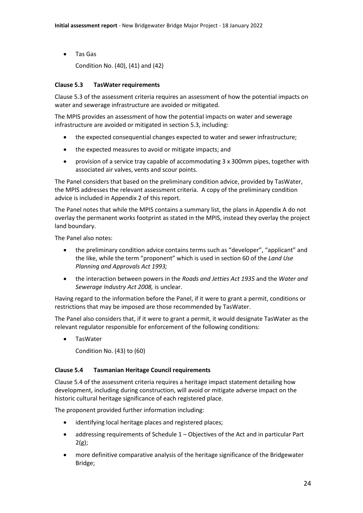• Tas Gas

Condition No. (40), (41) and (42)

## <span id="page-25-0"></span>**Clause 5.3 TasWater requirements**

Clause 5.3 of the assessment criteria requires an assessment of how the potential impacts on water and sewerage infrastructure are avoided or mitigated.

The MPIS provides an assessment of how the potential impacts on water and sewerage infrastructure are avoided or mitigated in section 5.3, including:

- the expected consequential changes expected to water and sewer infrastructure;
- the expected measures to avoid or mitigate impacts; and
- provision of a service tray capable of accommodating 3 x 300mm pipes, together with associated air valves, vents and scour points.

The Panel considers that based on the preliminary condition advice, provided by TasWater, the MPIS addresses the relevant assessment criteria. A copy of the preliminary condition advice is included in Appendix 2 of this report.

The Panel notes that while the MPIS contains a summary list, the plans in Appendix A do not overlay the permanent works footprint as stated in the MPIS, instead they overlay the project land boundary.

The Panel also notes:

- the preliminary condition advice contains terms such as "developer", "applicant" and the like, while the term "proponent" which is used in section 60 of the *Land Use Planning and Approvals Act 1993;*
- the interaction between powers in the *Roads and Jetties Act 1935* and the *Water and Sewerage Industry Act 2008,* is unclear.

Having regard to the information before the Panel, if it were to grant a permit, conditions or restrictions that may be imposed are those recommended by TasWater.

The Panel also considers that, if it were to grant a permit, it would designate TasWater as the relevant regulator responsible for enforcement of the following conditions:

• TasWater

Condition No. (43) to (60)

## <span id="page-25-1"></span>**Clause 5.4 Tasmanian Heritage Council requirements**

Clause 5.4 of the assessment criteria requires a heritage impact statement detailing how development, including during construction, will avoid or mitigate adverse impact on the historic cultural heritage significance of each registered place.

The proponent provided further information including:

- identifying local heritage places and registered places;
- addressing requirements of Schedule 1 Objectives of the Act and in particular Part  $2(g)$ ;
- more definitive comparative analysis of the heritage significance of the Bridgewater Bridge;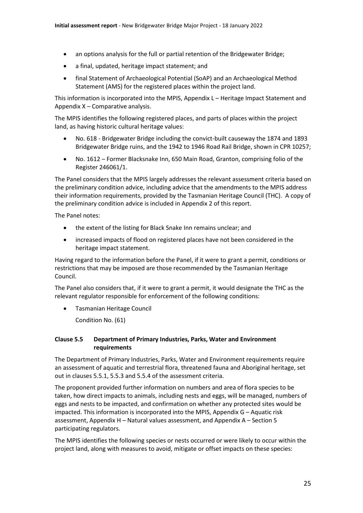- an options analysis for the full or partial retention of the Bridgewater Bridge;
- a final, updated, heritage impact statement; and
- final Statement of Archaeological Potential (SoAP) and an Archaeological Method Statement (AMS) for the registered places within the project land.

This information is incorporated into the MPIS, Appendix L – Heritage Impact Statement and Appendix X – Comparative analysis.

The MPIS identifies the following registered places, and parts of places within the project land, as having historic cultural heritage values:

- No. 618 Bridgewater Bridge including the convict-built causeway the 1874 and 1893 Bridgewater Bridge ruins, and the 1942 to 1946 Road Rail Bridge, shown in CPR 10257;
- No. 1612 Former Blacksnake Inn, 650 Main Road, Granton, comprising folio of the Register 246061/1.

The Panel considers that the MPIS largely addresses the relevant assessment criteria based on the preliminary condition advice, including advice that the amendments to the MPIS address their information requirements, provided by the Tasmanian Heritage Council (THC). A copy of the preliminary condition advice is included in Appendix 2 of this report.

The Panel notes:

- the extent of the listing for Black Snake Inn remains unclear; and
- increased impacts of flood on registered places have not been considered in the heritage impact statement.

Having regard to the information before the Panel, if it were to grant a permit, conditions or restrictions that may be imposed are those recommended by the Tasmanian Heritage Council.

The Panel also considers that, if it were to grant a permit, it would designate the THC as the relevant regulator responsible for enforcement of the following conditions:

• Tasmanian Heritage Council

Condition No. (61)

## <span id="page-26-0"></span>**Clause 5.5 Department of Primary Industries, Parks, Water and Environment requirements**

The Department of Primary Industries, Parks, Water and Environment requirements require an assessment of aquatic and terrestrial flora, threatened fauna and Aboriginal heritage, set out in clauses 5.5.1, 5.5.3 and 5.5.4 of the assessment criteria.

The proponent provided further information on numbers and area of flora species to be taken, how direct impacts to animals, including nests and eggs, will be managed, numbers of eggs and nests to be impacted, and confirmation on whether any protected sites would be impacted. This information is incorporated into the MPIS, Appendix G – Aquatic risk assessment, Appendix H – Natural values assessment, and Appendix A – Section 5 participating regulators.

The MPIS identifies the following species or nests occurred or were likely to occur within the project land, along with measures to avoid, mitigate or offset impacts on these species: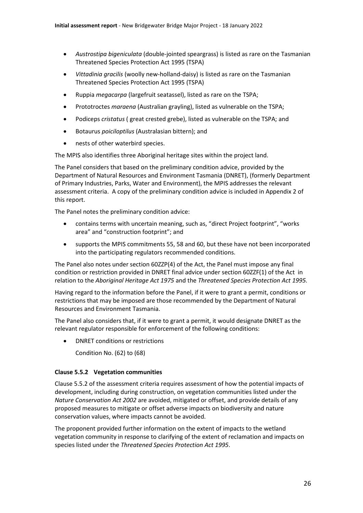- *Austrostipa bigeniculata* (double-jointed speargrass) is listed as rare on the Tasmanian Threatened Species Protection Act 1995 (TSPA)
- *Vittadinia gracilis* (woolly new-holland-daisy) is listed as rare on the Tasmanian Threatened Species Protection Act 1995 (TSPA)
- Ruppia *megacarpa* (largefruit seatassel), listed as rare on the TSPA;
- Prototroctes *maraena* (Australian grayling), listed as vulnerable on the TSPA;
- Podiceps *cristatus* ( great crested grebe), listed as vulnerable on the TSPA; and
- Botaurus *poiciloptilus* (Australasian bittern); and
- nests of other waterbird species.

The MPIS also identifies three Aboriginal heritage sites within the project land.

The Panel considers that based on the preliminary condition advice, provided by the Department of Natural Resources and Environment Tasmania (DNRET), (formerly Department of Primary Industries, Parks, Water and Environment), the MPIS addresses the relevant assessment criteria. A copy of the preliminary condition advice is included in Appendix 2 of this report.

The Panel notes the preliminary condition advice:

- contains terms with uncertain meaning, such as, "direct Project footprint", "works area" and "construction footprint"; and
- supports the MPIS commitments 55, 58 and 60, but these have not been incorporated into the participating regulators recommended conditions.

The Panel also notes under section 60ZZP(4) of the Act, the Panel must impose any final condition or restriction provided in DNRET final advice under section 60ZZF(1) of the Act in relation to the *Aboriginal Heritage Act 1975* and the *Threatened Species Protection Act 1995.*

Having regard to the information before the Panel, if it were to grant a permit, conditions or restrictions that may be imposed are those recommended by the Department of Natural Resources and Environment Tasmania.

The Panel also considers that, if it were to grant a permit, it would designate DNRET as the relevant regulator responsible for enforcement of the following conditions:

• DNRET conditions or restrictions

Condition No. (62) to (68)

## <span id="page-27-0"></span>**Clause 5.5.2 Vegetation communities**

Clause 5.5.2 of the assessment criteria requires assessment of how the potential impacts of development, including during construction, on vegetation communities listed under the *Nature Conservation Act 2002* are avoided, mitigated or offset, and provide details of any proposed measures to mitigate or offset adverse impacts on biodiversity and nature conservation values, where impacts cannot be avoided.

The proponent provided further information on the extent of impacts to the wetland vegetation community in response to clarifying of the extent of reclamation and impacts on species listed under the *Threatened Species Protection Act 1995*.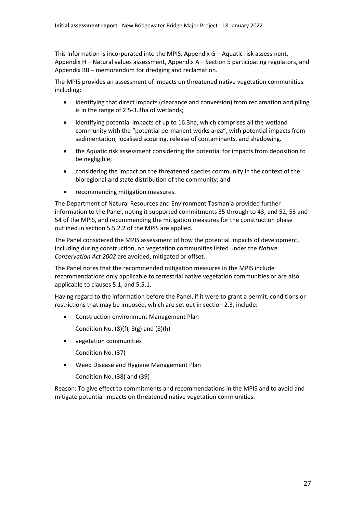This information is incorporated into the MPIS, Appendix G – Aquatic risk assessment, Appendix H – Natural values assessment, Appendix A – Section 5 participating regulators, and Appendix BB – memorandum for dredging and reclamation.

The MPIS provides an assessment of impacts on threatened native vegetation communities including:

- identifying that direct impacts (clearance and conversion) from reclamation and piling is in the range of 2.5-3.3ha of wetlands;
- identifying potential impacts of up to 16.3ha, which comprises all the wetland community with the "potential permanent works area", with potential impacts from sedimentation, localised scouring, release of contaminants, and shadowing.
- the Aquatic risk assessment considering the potential for impacts from deposition to be negligible;
- considering the impact on the threatened species community in the context of the bioregional and state distribution of the community; and
- recommending mitigation measures.

The Department of Natural Resources and Environment Tasmania provided further information to the Panel, noting it supported commitments 35 through to 43, and 52, 53 and 54 of the MPIS, and recommending the mitigation measures for the construction phase outlined in section 5.5.2.2 of the MPIS are applied.

The Panel considered the MPIS assessment of how the potential impacts of development, including during construction, on vegetation communities listed under the *Nature Conservation Act 2002* are avoided, mitigated or offset.

The Panel notes that the recommended mitigation measures in the MPIS include recommendations only applicable to terrestrial native vegetation communities or are also applicable to clauses 5.1, and 5.5.1.

Having regard to the information before the Panel, if it were to grant a permit, conditions or restrictions that may be imposed, which are set out in section 2.3, include:

• Construction environment Management Plan

Condition No.  $(8)(f)$ ,  $8(g)$  and  $(8)(h)$ 

• vegetation communities

Condition No. (37)

• Weed Disease and Hygiene Management Plan

Condition No. (38) and (39)

Reason: To give effect to commitments and recommendations in the MPIS and to avoid and mitigate potential impacts on threatened native vegetation communities.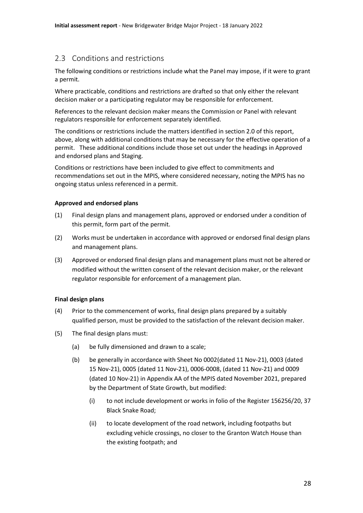## <span id="page-29-0"></span>2.3 Conditions and restrictions

The following conditions or restrictions include what the Panel may impose, if it were to grant a permit.

Where practicable, conditions and restrictions are drafted so that only either the relevant decision maker or a participating regulator may be responsible for enforcement.

References to the relevant decision maker means the Commission or Panel with relevant regulators responsible for enforcement separately identified.

The conditions or restrictions include the matters identified in section 2.0 of this report, above, along with additional conditions that may be necessary for the effective operation of a permit. These additional conditions include those set out under the headings in Approved and endorsed plans and Staging.

Conditions or restrictions have been included to give effect to commitments and recommendations set out in the MPIS, where considered necessary, noting the MPIS has no ongoing status unless referenced in a permit.

#### **Approved and endorsed plans**

- (1) Final design plans and management plans, approved or endorsed under a condition of this permit, form part of the permit.
- (2) Works must be undertaken in accordance with approved or endorsed final design plans and management plans.
- (3) Approved or endorsed final design plans and management plans must not be altered or modified without the written consent of the relevant decision maker, or the relevant regulator responsible for enforcement of a management plan.

## **Final design plans**

- (4) Prior to the commencement of works, final design plans prepared by a suitably qualified person, must be provided to the satisfaction of the relevant decision maker.
- (5) The final design plans must:
	- (a) be fully dimensioned and drawn to a scale;
	- (b) be generally in accordance with Sheet No 0002(dated 11 Nov-21), 0003 (dated 15 Nov-21), 0005 (dated 11 Nov-21), 0006-0008, (dated 11 Nov-21) and 0009 (dated 10 Nov-21) in Appendix AA of the MPIS dated November 2021, prepared by the Department of State Growth, but modified:
		- (i) to not include development or works in folio of the Register 156256/20, 37 Black Snake Road;
		- (ii) to locate development of the road network, including footpaths but excluding vehicle crossings, no closer to the Granton Watch House than the existing footpath; and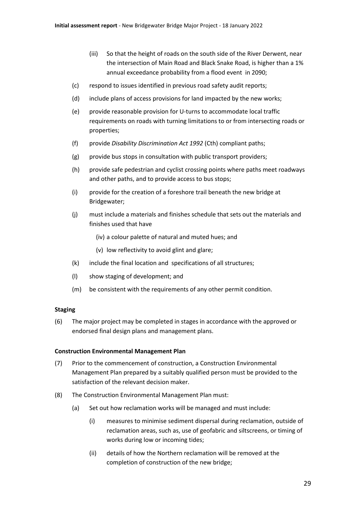- (iii) So that the height of roads on the south side of the River Derwent, near the intersection of Main Road and Black Snake Road, is higher than a 1% annual exceedance probability from a flood event in 2090;
- (c) respond to issues identified in previous road safety audit reports;
- (d) include plans of access provisions for land impacted by the new works;
- (e) provide reasonable provision for U-turns to accommodate local traffic requirements on roads with turning limitations to or from intersecting roads or properties;
- (f) provide *Disability Discrimination Act 1992* (Cth) compliant paths;
- (g) provide bus stops in consultation with public transport providers;
- (h) provide safe pedestrian and cyclist crossing points where paths meet roadways and other paths, and to provide access to bus stops;
- (i) provide for the creation of a foreshore trail beneath the new bridge at Bridgewater;
- (j) must include a materials and finishes schedule that sets out the materials and finishes used that have
	- (iv) a colour palette of natural and muted hues; and
	- (v) low reflectivity to avoid glint and glare;
- (k) include the final location and specifications of all structures;
- (l) show staging of development; and
- (m) be consistent with the requirements of any other permit condition.

#### **Staging**

(6) The major project may be completed in stages in accordance with the approved or endorsed final design plans and management plans.

#### **Construction Environmental Management Plan**

- (7) Prior to the commencement of construction, a Construction Environmental Management Plan prepared by a suitably qualified person must be provided to the satisfaction of the relevant decision maker.
- (8) The Construction Environmental Management Plan must:
	- (a) Set out how reclamation works will be managed and must include:
		- (i) measures to minimise sediment dispersal during reclamation, outside of reclamation areas, such as, use of geofabric and siltscreens, or timing of works during low or incoming tides;
		- (ii) details of how the Northern reclamation will be removed at the completion of construction of the new bridge;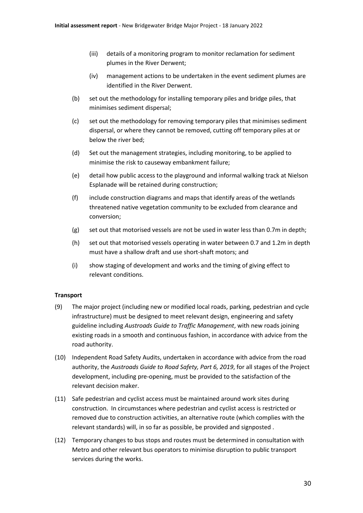- (iii) details of a monitoring program to monitor reclamation for sediment plumes in the River Derwent;
- (iv) management actions to be undertaken in the event sediment plumes are identified in the River Derwent.
- (b) set out the methodology for installing temporary piles and bridge piles, that minimises sediment dispersal;
- (c) set out the methodology for removing temporary piles that minimises sediment dispersal, or where they cannot be removed, cutting off temporary piles at or below the river bed;
- (d) Set out the management strategies, including monitoring, to be applied to minimise the risk to causeway embankment failure;
- (e) detail how public access to the playground and informal walking track at Nielson Esplanade will be retained during construction;
- (f) include construction diagrams and maps that identify areas of the wetlands threatened native vegetation community to be excluded from clearance and conversion;
- (g) set out that motorised vessels are not be used in water less than 0.7m in depth;
- (h) set out that motorised vessels operating in water between 0.7 and 1.2m in depth must have a shallow draft and use short-shaft motors; and
- (i) show staging of development and works and the timing of giving effect to relevant conditions.

## **Transport**

- (9) The major project (including new or modified local roads, parking, pedestrian and cycle infrastructure) must be designed to meet relevant design, engineering and safety guideline including *Austroads Guide to Traffic Management*, with new roads joining existing roads in a smooth and continuous fashion, in accordance with advice from the road authority.
- (10) Independent Road Safety Audits, undertaken in accordance with advice from the road authority, the *Austroads Guide to Road Safety, Part 6, 2019*, for all stages of the Project development, including pre-opening, must be provided to the satisfaction of the relevant decision maker.
- (11) Safe pedestrian and cyclist access must be maintained around work sites during construction. In circumstances where pedestrian and cyclist access is restricted or removed due to construction activities, an alternative route (which complies with the relevant standards) will, in so far as possible, be provided and signposted .
- (12) Temporary changes to bus stops and routes must be determined in consultation with Metro and other relevant bus operators to minimise disruption to public transport services during the works.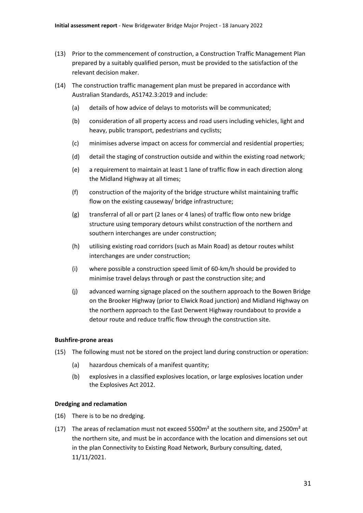- (13) Prior to the commencement of construction, a Construction Traffic Management Plan prepared by a suitably qualified person, must be provided to the satisfaction of the relevant decision maker.
- (14) The construction traffic management plan must be prepared in accordance with Australian Standards, AS1742.3:2019 and include:
	- (a) details of how advice of delays to motorists will be communicated;
	- (b) consideration of all property access and road users including vehicles, light and heavy, public transport, pedestrians and cyclists;
	- (c) minimises adverse impact on access for commercial and residential properties;
	- (d) detail the staging of construction outside and within the existing road network;
	- (e) a requirement to maintain at least 1 lane of traffic flow in each direction along the Midland Highway at all times;
	- (f) construction of the majority of the bridge structure whilst maintaining traffic flow on the existing causeway/ bridge infrastructure;
	- (g) transferral of all or part (2 lanes or 4 lanes) of traffic flow onto new bridge structure using temporary detours whilst construction of the northern and southern interchanges are under construction;
	- (h) utilising existing road corridors (such as Main Road) as detour routes whilst interchanges are under construction;
	- (i) where possible a construction speed limit of 60-km/h should be provided to minimise travel delays through or past the construction site; and
	- (j) advanced warning signage placed on the southern approach to the Bowen Bridge on the Brooker Highway (prior to Elwick Road junction) and Midland Highway on the northern approach to the East Derwent Highway roundabout to provide a detour route and reduce traffic flow through the construction site.

#### **Bushfire-prone areas**

- (15) The following must not be stored on the project land during construction or operation:
	- (a) hazardous chemicals of a manifest quantity;
	- (b) explosives in a classified explosives location, or large explosives location under the Explosives Act 2012.

#### **Dredging and reclamation**

- (16) There is to be no dredging.
- (17) The areas of reclamation must not exceed  $5500m<sup>2</sup>$  at the southern site, and 2500 $m<sup>2</sup>$  at the northern site, and must be in accordance with the location and dimensions set out in the plan Connectivity to Existing Road Network, Burbury consulting, dated, 11/11/2021.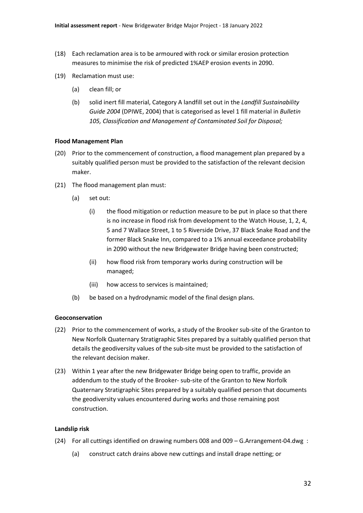- (18) Each reclamation area is to be armoured with rock or similar erosion protection measures to minimise the risk of predicted 1%AEP erosion events in 2090.
- (19) Reclamation must use:
	- (a) clean fill; or
	- (b) solid inert fill material, Category A landfill set out in the *Landfill Sustainability Guide 2004* (DPIWE, 2004) that is categorised as level 1 fill material in *Bulletin 105, Classification and Management of Contaminated Soil for Disposal;*

#### **Flood Management Plan**

- (20) Prior to the commencement of construction, a flood management plan prepared by a suitably qualified person must be provided to the satisfaction of the relevant decision maker.
- (21) The flood management plan must:
	- (a) set out:
		- (i) the flood mitigation or reduction measure to be put in place so that there is no increase in flood risk from development to the Watch House, 1, 2, 4, 5 and 7 Wallace Street, 1 to 5 Riverside Drive, 37 Black Snake Road and the former Black Snake Inn, compared to a 1% annual exceedance probability in 2090 without the new Bridgewater Bridge having been constructed;
		- (ii) how flood risk from temporary works during construction will be managed;
		- (iii) how access to services is maintained;
	- (b) be based on a hydrodynamic model of the final design plans.

#### **Geoconservation**

- (22) Prior to the commencement of works, a study of the Brooker sub-site of the Granton to New Norfolk Quaternary Stratigraphic Sites prepared by a suitably qualified person that details the geodiversity values of the sub-site must be provided to the satisfaction of the relevant decision maker.
- (23) Within 1 year after the new Bridgewater Bridge being open to traffic, provide an addendum to the study of the Brooker- sub-site of the Granton to New Norfolk Quaternary Stratigraphic Sites prepared by a suitably qualified person that documents the geodiversity values encountered during works and those remaining post construction.

#### **Landslip risk**

- (24) For all cuttings identified on drawing numbers 008 and 009 G.Arrangement-04.dwg :
	- (a) construct catch drains above new cuttings and install drape netting; or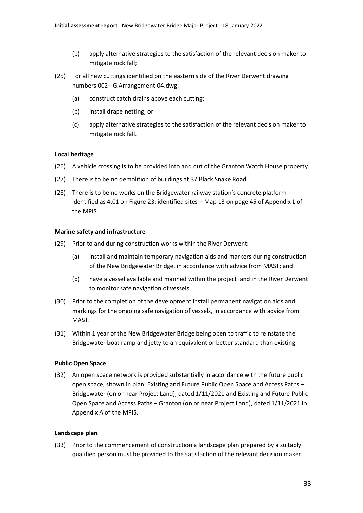- (b) apply alternative strategies to the satisfaction of the relevant decision maker to mitigate rock fall;
- (25) For all new cuttings identified on the eastern side of the River Derwent drawing numbers 002– G.Arrangement-04.dwg:
	- (a) construct catch drains above each cutting;
	- (b) install drape netting; or
	- (c) apply alternative strategies to the satisfaction of the relevant decision maker to mitigate rock fall.

#### **Local heritage**

- (26) A vehicle crossing is to be provided into and out of the Granton Watch House property.
- (27) There is to be no demolition of buildings at 37 Black Snake Road.
- (28) There is to be no works on the Bridgewater railway station's concrete platform identified as 4.01 on Figure 23: identified sites – Map 13 on page 45 of Appendix L of the MPIS.

#### **Marine safety and infrastructure**

- (29) Prior to and during construction works within the River Derwent:
	- (a) install and maintain temporary navigation aids and markers during construction of the New Bridgewater Bridge, in accordance with advice from MAST; and
	- (b) have a vessel available and manned within the project land in the River Derwent to monitor safe navigation of vessels.
- (30) Prior to the completion of the development install permanent navigation aids and markings for the ongoing safe navigation of vessels, in accordance with advice from MAST.
- (31) Within 1 year of the New Bridgewater Bridge being open to traffic to reinstate the Bridgewater boat ramp and jetty to an equivalent or better standard than existing.

## **Public Open Space**

(32) An open space network is provided substantially in accordance with the future public open space, shown in plan: Existing and Future Public Open Space and Access Paths – Bridgewater (on or near Project Land), dated 1/11/2021 and Existing and Future Public Open Space and Access Paths – Granton (on or near Project Land), dated 1/11/2021 in Appendix A of the MPIS.

#### **Landscape plan**

(33) Prior to the commencement of construction a landscape plan prepared by a suitably qualified person must be provided to the satisfaction of the relevant decision maker.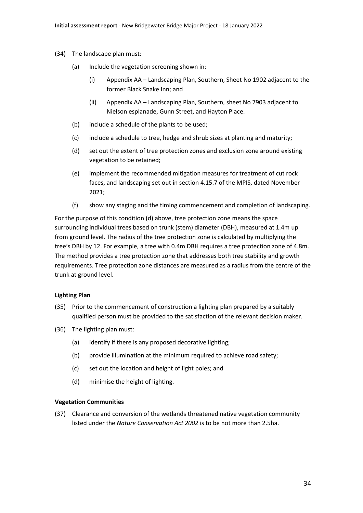- (34) The landscape plan must:
	- (a) Include the vegetation screening shown in:
		- (i) Appendix AA Landscaping Plan, Southern, Sheet No 1902 adjacent to the former Black Snake Inn; and
		- (ii) Appendix AA Landscaping Plan, Southern, sheet No 7903 adjacent to Nielson esplanade, Gunn Street, and Hayton Place.
	- (b) include a schedule of the plants to be used;
	- (c) include a schedule to tree, hedge and shrub sizes at planting and maturity;
	- (d) set out the extent of tree protection zones and exclusion zone around existing vegetation to be retained;
	- (e) implement the recommended mitigation measures for treatment of cut rock faces, and landscaping set out in section 4.15.7 of the MPIS, dated November 2021;
	- (f) show any staging and the timing commencement and completion of landscaping.

For the purpose of this condition (d) above, tree protection zone means the space surrounding individual trees based on trunk (stem) diameter (DBH), measured at 1.4m up from ground level. The radius of the tree protection zone is calculated by multiplying the tree's DBH by 12. For example, a tree with 0.4m DBH requires a tree protection zone of 4.8m. The method provides a tree protection zone that addresses both tree stability and growth requirements. Tree protection zone distances are measured as a radius from the centre of the trunk at ground level.

## **Lighting Plan**

- (35) Prior to the commencement of construction a lighting plan prepared by a suitably qualified person must be provided to the satisfaction of the relevant decision maker.
- (36) The lighting plan must:
	- (a) identify if there is any proposed decorative lighting;
	- (b) provide illumination at the minimum required to achieve road safety;
	- (c) set out the location and height of light poles; and
	- (d) minimise the height of lighting.

#### **Vegetation Communities**

(37) Clearance and conversion of the wetlands threatened native vegetation community listed under the *Nature Conservation Act 2002* is to be not more than 2.5ha.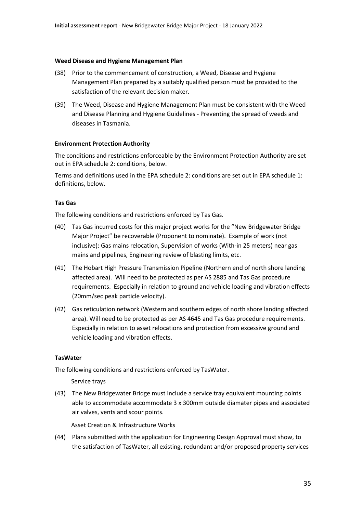#### **Weed Disease and Hygiene Management Plan**

- (38) Prior to the commencement of construction, a Weed, Disease and Hygiene Management Plan prepared by a suitably qualified person must be provided to the satisfaction of the relevant decision maker.
- (39) The Weed, Disease and Hygiene Management Plan must be consistent with the Weed and Disease Planning and Hygiene Guidelines - Preventing the spread of weeds and diseases in Tasmania.

#### **Environment Protection Authority**

The conditions and restrictions enforceable by the Environment Protection Authority are set out in EPA schedule 2: conditions, below.

Terms and definitions used in the EPA schedule 2: conditions are set out in EPA schedule 1: definitions, below.

#### **Tas Gas**

The following conditions and restrictions enforced by Tas Gas.

- (40) Tas Gas incurred costs for this major project works for the "New Bridgewater Bridge Major Project" be recoverable (Proponent to nominate). Example of work (not inclusive): Gas mains relocation, Supervision of works (With-in 25 meters) near gas mains and pipelines, Engineering review of blasting limits, etc.
- (41) The Hobart High Pressure Transmission Pipeline (Northern end of north shore landing affected area). Will need to be protected as per AS 2885 and Tas Gas procedure requirements. Especially in relation to ground and vehicle loading and vibration effects (20mm/sec peak particle velocity).
- (42) Gas reticulation network (Western and southern edges of north shore landing affected area). Will need to be protected as per AS 4645 and Tas Gas procedure requirements. Especially in relation to asset relocations and protection from excessive ground and vehicle loading and vibration effects.

#### **TasWater**

The following conditions and restrictions enforced by TasWater.

Service trays

(43) The New Bridgewater Bridge must include a service tray equivalent mounting points able to accommodate accommodate 3 x 300mm outside diamater pipes and associated air valves, vents and scour points.

Asset Creation & Infrastructure Works

(44) Plans submitted with the application for Engineering Design Approval must show, to the satisfaction of TasWater, all existing, redundant and/or proposed property services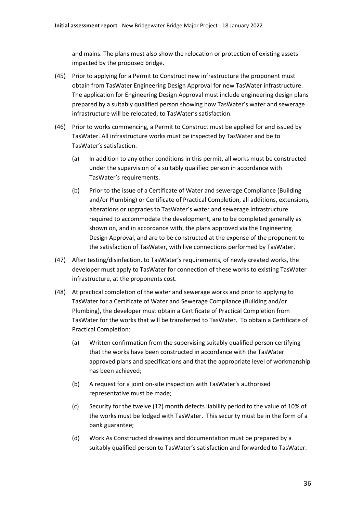and mains. The plans must also show the relocation or protection of existing assets impacted by the proposed bridge.

- (45) Prior to applying for a Permit to Construct new infrastructure the proponent must obtain from TasWater Engineering Design Approval for new TasWater infrastructure. The application for Engineering Design Approval must include engineering design plans prepared by a suitably qualified person showing how TasWater's water and sewerage infrastructure will be relocated, to TasWater's satisfaction.
- (46) Prior to works commencing, a Permit to Construct must be applied for and issued by TasWater. All infrastructure works must be inspected by TasWater and be to TasWater's satisfaction.
	- (a) In addition to any other conditions in this permit, all works must be constructed under the supervision of a suitably qualified person in accordance with TasWater's requirements.
	- (b) Prior to the issue of a Certificate of Water and sewerage Compliance (Building and/or Plumbing) or Certificate of Practical Completion, all additions, extensions, alterations or upgrades to TasWater's water and sewerage infrastructure required to accommodate the development, are to be completed generally as shown on, and in accordance with, the plans approved via the Engineering Design Approval, and are to be constructed at the expense of the proponent to the satisfaction of TasWater, with live connections performed by TasWater.
- (47) After testing/disinfection, to TasWater's requirements, of newly created works, the developer must apply to TasWater for connection of these works to existing TasWater infrastructure, at the proponents cost.
- (48) At practical completion of the water and sewerage works and prior to applying to TasWater for a Certificate of Water and Sewerage Compliance (Building and/or Plumbing), the developer must obtain a Certificate of Practical Completion from TasWater for the works that will be transferred to TasWater. To obtain a Certificate of Practical Completion:
	- (a) Written confirmation from the supervising suitably qualified person certifying that the works have been constructed in accordance with the TasWater approved plans and specifications and that the appropriate level of workmanship has been achieved;
	- (b) A request for a joint on-site inspection with TasWater's authorised representative must be made;
	- (c) Security for the twelve (12) month defects liability period to the value of 10% of the works must be lodged with TasWater. This security must be in the form of a bank guarantee;
	- (d) Work As Constructed drawings and documentation must be prepared by a suitably qualified person to TasWater's satisfaction and forwarded to TasWater.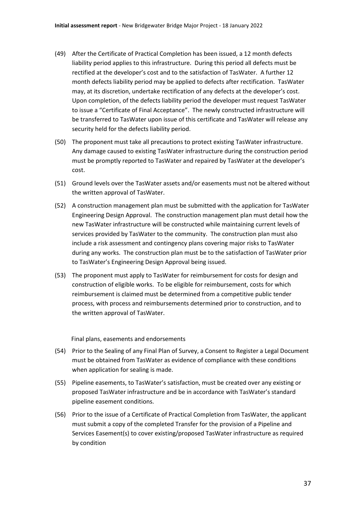- (49) After the Certificate of Practical Completion has been issued, a 12 month defects liability period applies to this infrastructure. During this period all defects must be rectified at the developer's cost and to the satisfaction of TasWater. A further 12 month defects liability period may be applied to defects after rectification. TasWater may, at its discretion, undertake rectification of any defects at the developer's cost. Upon completion, of the defects liability period the developer must request TasWater to issue a "Certificate of Final Acceptance". The newly constructed infrastructure will be transferred to TasWater upon issue of this certificate and TasWater will release any security held for the defects liability period.
- (50) The proponent must take all precautions to protect existing TasWater infrastructure. Any damage caused to existing TasWater infrastructure during the construction period must be promptly reported to TasWater and repaired by TasWater at the developer's cost.
- (51) Ground levels over the TasWater assets and/or easements must not be altered without the written approval of TasWater.
- (52) A construction management plan must be submitted with the application for TasWater Engineering Design Approval. The construction management plan must detail how the new TasWater infrastructure will be constructed while maintaining current levels of services provided by TasWater to the community. The construction plan must also include a risk assessment and contingency plans covering major risks to TasWater during any works. The construction plan must be to the satisfaction of TasWater prior to TasWater's Engineering Design Approval being issued.
- (53) The proponent must apply to TasWater for reimbursement for costs for design and construction of eligible works. To be eligible for reimbursement, costs for which reimbursement is claimed must be determined from a competitive public tender process, with process and reimbursements determined prior to construction, and to the written approval of TasWater.

Final plans, easements and endorsements

- (54) Prior to the Sealing of any Final Plan of Survey, a Consent to Register a Legal Document must be obtained from TasWater as evidence of compliance with these conditions when application for sealing is made.
- (55) Pipeline easements, to TasWater's satisfaction, must be created over any existing or proposed TasWater infrastructure and be in accordance with TasWater's standard pipeline easement conditions.
- (56) Prior to the issue of a Certificate of Practical Completion from TasWater, the applicant must submit a copy of the completed Transfer for the provision of a Pipeline and Services Easement(s) to cover existing/proposed TasWater infrastructure as required by condition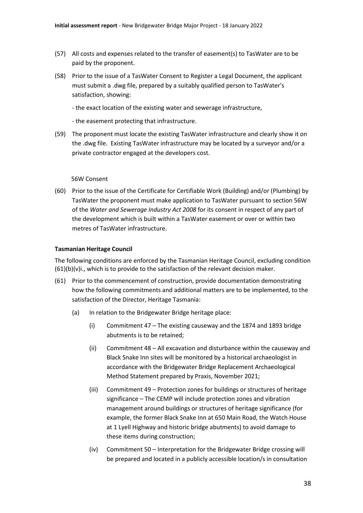- (57) All costs and expenses related to the transfer of easement(s) to TasWater are to be paid by the proponent.
- (58) Prior to the issue of a TasWater Consent to Register a Legal Document, the applicant must submit a .dwg file, prepared by a suitably qualified person to TasWater's satisfaction, showing:
	- the exact location of the existing water and sewerage infrastructure,
	- the easement protecting that infrastructure.
- (59) The proponent must locate the existing TasWater infrastructure and clearly show it on the .dwg file. Existing TasWater infrastructure may be located by a surveyor and/or a private contractor engaged at the developers cost.

#### 56W Consent

(60) Prior to the issue of the Certificate for Certifiable Work (Building) and/or (Plumbing) by TasWater the proponent must make application to TasWater pursuant to section 56W of the *Water and Sewerage Industry Act 2008* for its consent in respect of any part of the development which is built within a TasWater easement or over or within two metres of TasWater infrastructure.

#### **Tasmanian Heritage Council**

The following conditions are enforced by the Tasmanian Heritage Council, excluding condition  $(61)(b)(v)i$ ., which is to provide to the satisfaction of the relevant decision maker.

- (61) Prior to the commencement of construction, provide documentation demonstrating how the following commitments and additional matters are to be implemented, to the satisfaction of the Director, Heritage Tasmania:
	- (a) In relation to the Bridgewater Bridge heritage place:
		- (i) Commitment 47 The existing causeway and the 1874 and 1893 bridge abutments is to be retained;
		- (ii) Commitment 48 All excavation and disturbance within the causeway and Black Snake Inn sites will be monitored by a historical archaeologist in accordance with the Bridgewater Bridge Replacement Archaeological Method Statement prepared by Praxis, November 2021;
		- (iii) Commitment 49 Protection zones for buildings or structures of heritage significance – The CEMP will include protection zones and vibration management around buildings or structures of heritage significance (for example, the former Black Snake Inn at 650 Main Road, the Watch House at 1 Lyell Highway and historic bridge abutments) to avoid damage to these items during construction;
		- (iv) Commitment 50 Interpretation for the Bridgewater Bridge crossing will be prepared and located in a publicly accessible location/s in consultation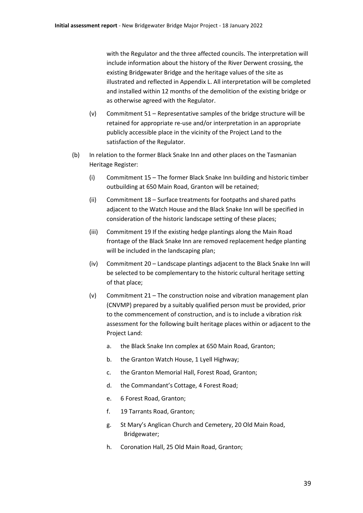with the Regulator and the three affected councils. The interpretation will include information about the history of the River Derwent crossing, the existing Bridgewater Bridge and the heritage values of the site as illustrated and reflected in Appendix L. All interpretation will be completed and installed within 12 months of the demolition of the existing bridge or as otherwise agreed with the Regulator.

- (v) Commitment 51 Representative samples of the bridge structure will be retained for appropriate re-use and/or interpretation in an appropriate publicly accessible place in the vicinity of the Project Land to the satisfaction of the Regulator.
- (b) In relation to the former Black Snake Inn and other places on the Tasmanian Heritage Register:
	- (i) Commitment 15 The former Black Snake Inn building and historic timber outbuilding at 650 Main Road, Granton will be retained;
	- (ii) Commitment 18 Surface treatments for footpaths and shared paths adjacent to the Watch House and the Black Snake Inn will be specified in consideration of the historic landscape setting of these places;
	- (iii) Commitment 19 If the existing hedge plantings along the Main Road frontage of the Black Snake Inn are removed replacement hedge planting will be included in the landscaping plan:
	- (iv) Commitment 20 Landscape plantings adjacent to the Black Snake Inn will be selected to be complementary to the historic cultural heritage setting of that place;
	- (v) Commitment 21 The construction noise and vibration management plan (CNVMP) prepared by a suitably qualified person must be provided, prior to the commencement of construction, and is to include a vibration risk assessment for the following built heritage places within or adjacent to the Project Land:
		- a. the Black Snake Inn complex at 650 Main Road, Granton;
		- b. the Granton Watch House, 1 Lyell Highway;
		- c. the Granton Memorial Hall, Forest Road, Granton;
		- d. the Commandant's Cottage, 4 Forest Road;
		- e. 6 Forest Road, Granton;
		- f. 19 Tarrants Road, Granton;
		- g. St Mary's Anglican Church and Cemetery, 20 Old Main Road, Bridgewater;
		- h. Coronation Hall, 25 Old Main Road, Granton;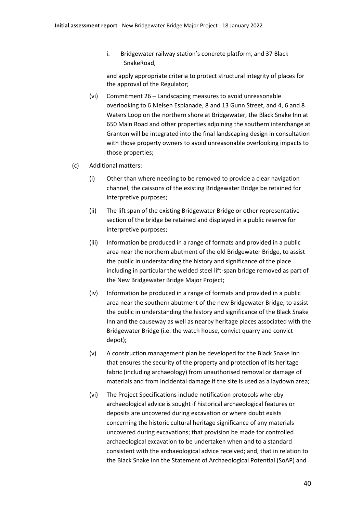i. Bridgewater railway station's concrete platform, and 37 Black SnakeRoad,

and apply appropriate criteria to protect structural integrity of places for the approval of the Regulator;

- (vi) Commitment 26 Landscaping measures to avoid unreasonable overlooking to 6 Nielsen Esplanade, 8 and 13 Gunn Street, and 4, 6 and 8 Waters Loop on the northern shore at Bridgewater, the Black Snake Inn at 650 Main Road and other properties adjoining the southern interchange at Granton will be integrated into the final landscaping design in consultation with those property owners to avoid unreasonable overlooking impacts to those properties;
- (c) Additional matters:
	- (i) Other than where needing to be removed to provide a clear navigation channel, the caissons of the existing Bridgewater Bridge be retained for interpretive purposes;
	- (ii) The lift span of the existing Bridgewater Bridge or other representative section of the bridge be retained and displayed in a public reserve for interpretive purposes;
	- (iii) Information be produced in a range of formats and provided in a public area near the northern abutment of the old Bridgewater Bridge, to assist the public in understanding the history and significance of the place including in particular the welded steel lift-span bridge removed as part of the New Bridgewater Bridge Major Project;
	- (iv) Information be produced in a range of formats and provided in a public area near the southern abutment of the new Bridgewater Bridge, to assist the public in understanding the history and significance of the Black Snake Inn and the causeway as well as nearby heritage places associated with the Bridgewater Bridge (i.e. the watch house, convict quarry and convict depot);
	- (v) A construction management plan be developed for the Black Snake Inn that ensures the security of the property and protection of its heritage fabric (including archaeology) from unauthorised removal or damage of materials and from incidental damage if the site is used as a laydown area;
	- (vi) The Project Specifications include notification protocols whereby archaeological advice is sought if historical archaeological features or deposits are uncovered during excavation or where doubt exists concerning the historic cultural heritage significance of any materials uncovered during excavations; that provision be made for controlled archaeological excavation to be undertaken when and to a standard consistent with the archaeological advice received; and, that in relation to the Black Snake Inn the Statement of Archaeological Potential (SoAP) and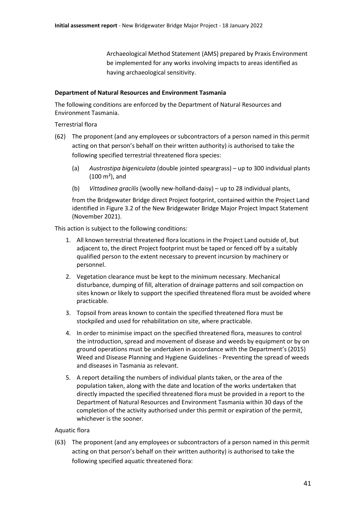Archaeological Method Statement (AMS) prepared by Praxis Environment be implemented for any works involving impacts to areas identified as having archaeological sensitivity.

#### **Department of Natural Resources and Environment Tasmania**

The following conditions are enforced by the Department of Natural Resources and Environment Tasmania.

Terrestrial flora

- (62) The proponent (and any employees or subcontractors of a person named in this permit acting on that person's behalf on their written authority) is authorised to take the following specified terrestrial threatened flora species:
	- (a) *Austrostipa bigeniculata* (double jointed speargrass) up to 300 individual plants  $(100 \text{ m}^2)$ , and
	- (b) *Vittadinea gracilis* (woolly new-holland-daisy) up to 28 individual plants,

from the Bridgewater Bridge direct Project footprint, contained within the Project Land identified in Figure 3.2 of the New Bridgewater Bridge Major Project Impact Statement (November 2021).

This action is subject to the following conditions:

- 1. All known terrestrial threatened flora locations in the Project Land outside of, but adjacent to, the direct Project footprint must be taped or fenced off by a suitably qualified person to the extent necessary to prevent incursion by machinery or personnel.
- 2. Vegetation clearance must be kept to the minimum necessary. Mechanical disturbance, dumping of fill, alteration of drainage patterns and soil compaction on sites known or likely to support the specified threatened flora must be avoided where practicable.
- 3. Topsoil from areas known to contain the specified threatened flora must be stockpiled and used for rehabilitation on site, where practicable.
- 4. In order to minimise impact on the specified threatened flora, measures to control the introduction, spread and movement of disease and weeds by equipment or by on ground operations must be undertaken in accordance with the Department's (2015) Weed and Disease Planning and Hygiene Guidelines - Preventing the spread of weeds and diseases in Tasmania as relevant.
- 5. A report detailing the numbers of individual plants taken, or the area of the population taken, along with the date and location of the works undertaken that directly impacted the specified threatened flora must be provided in a report to the Department of Natural Resources and Environment Tasmania within 30 days of the completion of the activity authorised under this permit or expiration of the permit, whichever is the sooner.

## Aquatic flora

(63) The proponent (and any employees or subcontractors of a person named in this permit acting on that person's behalf on their written authority) is authorised to take the following specified aquatic threatened flora: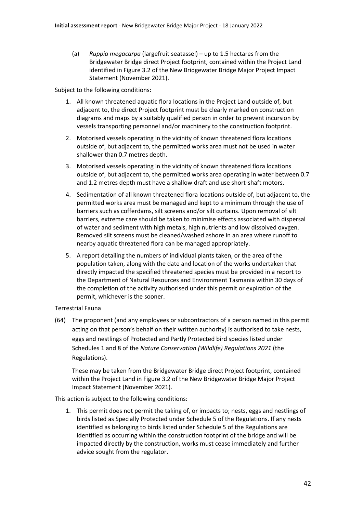(a) *Ruppia megacarpa* (largefruit seatassel) – up to 1.5 hectares from the Bridgewater Bridge direct Project footprint, contained within the Project Land identified in Figure 3.2 of the New Bridgewater Bridge Major Project Impact Statement (November 2021).

Subject to the following conditions:

- 1. All known threatened aquatic flora locations in the Project Land outside of, but adjacent to, the direct Project footprint must be clearly marked on construction diagrams and maps by a suitably qualified person in order to prevent incursion by vessels transporting personnel and/or machinery to the construction footprint.
- 2. Motorised vessels operating in the vicinity of known threatened flora locations outside of, but adjacent to, the permitted works area must not be used in water shallower than 0.7 metres depth.
- 3. Motorised vessels operating in the vicinity of known threatened flora locations outside of, but adjacent to, the permitted works area operating in water between 0.7 and 1.2 metres depth must have a shallow draft and use short-shaft motors.
- 4. Sedimentation of all known threatened flora locations outside of, but adjacent to, the permitted works area must be managed and kept to a minimum through the use of barriers such as cofferdams, silt screens and/or silt curtains. Upon removal of silt barriers, extreme care should be taken to minimise effects associated with dispersal of water and sediment with high metals, high nutrients and low dissolved oxygen. Removed silt screens must be cleaned/washed ashore in an area where runoff to nearby aquatic threatened flora can be managed appropriately.
- 5. A report detailing the numbers of individual plants taken, or the area of the population taken, along with the date and location of the works undertaken that directly impacted the specified threatened species must be provided in a report to the Department of Natural Resources and Environment Tasmania within 30 days of the completion of the activity authorised under this permit or expiration of the permit, whichever is the sooner.

## Terrestrial Fauna

(64) The proponent (and any employees or subcontractors of a person named in this permit acting on that person's behalf on their written authority) is authorised to take nests, eggs and nestlings of Protected and Partly Protected bird species listed under Schedules 1 and 8 of the *Nature Conservation (Wildlife) Regulations 2021* (the Regulations).

These may be taken from the Bridgewater Bridge direct Project footprint, contained within the Project Land in Figure 3.2 of the New Bridgewater Bridge Major Project Impact Statement (November 2021).

This action is subject to the following conditions:

1. This permit does not permit the taking of, or impacts to; nests, eggs and nestlings of birds listed as Specially Protected under Schedule 5 of the Regulations. If any nests identified as belonging to birds listed under Schedule 5 of the Regulations are identified as occurring within the construction footprint of the bridge and will be impacted directly by the construction, works must cease immediately and further advice sought from the regulator.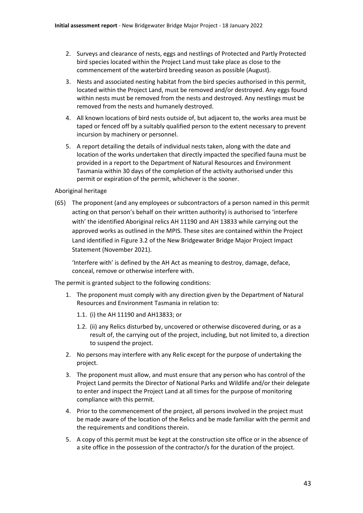- 2. Surveys and clearance of nests, eggs and nestlings of Protected and Partly Protected bird species located within the Project Land must take place as close to the commencement of the waterbird breeding season as possible (August).
- 3. Nests and associated nesting habitat from the bird species authorised in this permit, located within the Project Land, must be removed and/or destroyed. Any eggs found within nests must be removed from the nests and destroyed. Any nestlings must be removed from the nests and humanely destroyed.
- 4. All known locations of bird nests outside of, but adjacent to, the works area must be taped or fenced off by a suitably qualified person to the extent necessary to prevent incursion by machinery or personnel.
- 5. A report detailing the details of individual nests taken, along with the date and location of the works undertaken that directly impacted the specified fauna must be provided in a report to the Department of Natural Resources and Environment Tasmania within 30 days of the completion of the activity authorised under this permit or expiration of the permit, whichever is the sooner.

#### Aboriginal heritage

(65) The proponent (and any employees or subcontractors of a person named in this permit acting on that person's behalf on their written authority) is authorised to 'interfere with' the identified Aboriginal relics AH 11190 and AH 13833 while carrying out the approved works as outlined in the MPIS. These sites are contained within the Project Land identified in Figure 3.2 of the New Bridgewater Bridge Major Project Impact Statement (November 2021).

'Interfere with' is defined by the AH Act as meaning to destroy, damage, deface, conceal, remove or otherwise interfere with.

The permit is granted subject to the following conditions:

- 1. The proponent must comply with any direction given by the Department of Natural Resources and Environment Tasmania in relation to:
	- 1.1. (i) the AH 11190 and AH13833; or
	- 1.2. (ii) any Relics disturbed by, uncovered or otherwise discovered during, or as a result of, the carrying out of the project, including, but not limited to, a direction to suspend the project.
- 2. No persons may interfere with any Relic except for the purpose of undertaking the project.
- 3. The proponent must allow, and must ensure that any person who has control of the Project Land permits the Director of National Parks and Wildlife and/or their delegate to enter and inspect the Project Land at all times for the purpose of monitoring compliance with this permit.
- 4. Prior to the commencement of the project, all persons involved in the project must be made aware of the location of the Relics and be made familiar with the permit and the requirements and conditions therein.
- 5. A copy of this permit must be kept at the construction site office or in the absence of a site office in the possession of the contractor/s for the duration of the project.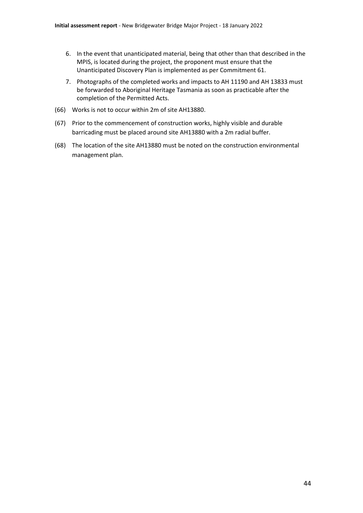- 6. In the event that unanticipated material, being that other than that described in the MPIS, is located during the project, the proponent must ensure that the Unanticipated Discovery Plan is implemented as per Commitment 61.
- 7. Photographs of the completed works and impacts to AH 11190 and AH 13833 must be forwarded to Aboriginal Heritage Tasmania as soon as practicable after the completion of the Permitted Acts.
- (66) Works is not to occur within 2m of site AH13880.
- (67) Prior to the commencement of construction works, highly visible and durable barricading must be placed around site AH13880 with a 2m radial buffer.
- (68) The location of the site AH13880 must be noted on the construction environmental management plan.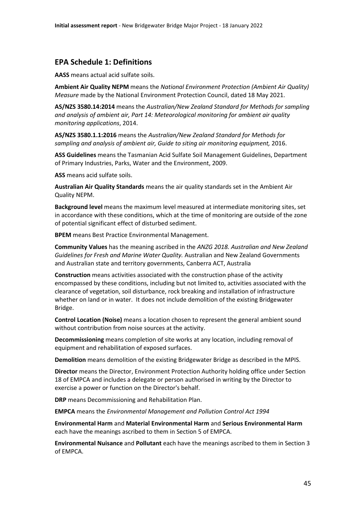## **EPA Schedule 1: Definitions**

**AASS** means actual acid sulfate soils.

**Ambient Air Quality NEPM** means the *National Environment Protection (Ambient Air Quality) Measure* made by the National Environment Protection Council, dated 18 May 2021.

**AS/NZS 3580.14:2014** means the *Australian/New Zealand Standard for Methods for sampling and analysis of ambient air, Part 14: Meteorological monitoring for ambient air quality monitoring applications*, 2014.

**AS/NZS 3580.1.1:2016** means the *Australian/New Zealand Standard for Methods for sampling and analysis of ambient air, Guide to siting air monitoring equipment,* 2016.

**ASS Guidelines** means the Tasmanian Acid Sulfate Soil Management Guidelines, Department of Primary Industries, Parks, Water and the Environment, 2009.

**ASS** means acid sulfate soils.

**Australian Air Quality Standards** means the air quality standards set in the Ambient Air Quality NEPM.

**Background level** means the maximum level measured at intermediate monitoring sites, set in accordance with these conditions, which at the time of monitoring are outside of the zone of potential significant effect of disturbed sediment.

**BPEM** means Best Practice Environmental Management.

**Community Values** has the meaning ascribed in the *ANZG 2018. Australian and New Zealand Guidelines for Fresh and Marine Water Quality.* Australian and New Zealand Governments and Australian state and territory governments, Canberra ACT, Australia

**Construction** means activities associated with the construction phase of the activity encompassed by these conditions, including but not limited to, activities associated with the clearance of vegetation, soil disturbance, rock breaking and installation of infrastructure whether on land or in water. It does not include demolition of the existing Bridgewater Bridge.

**Control Location (Noise)** means a location chosen to represent the general ambient sound without contribution from noise sources at the activity.

**Decommissioning** means completion of site works at any location, including removal of equipment and rehabilitation of exposed surfaces.

**Demolition** means demolition of the existing Bridgewater Bridge as described in the MPIS.

**Director** means the Director, Environment Protection Authority holding office under Section 18 of EMPCA and includes a delegate or person authorised in writing by the Director to exercise a power or function on the Director's behalf.

**DRP** means Decommissioning and Rehabilitation Plan.

**EMPCA** means the *Environmental Management and Pollution Control Act 1994*

**Environmental Harm** and **Material Environmental Harm** and **Serious Environmental Harm** each have the meanings ascribed to them in Section 5 of EMPCA.

**Environmental Nuisance** and **Pollutant** each have the meanings ascribed to them in Section 3 of EMPCA.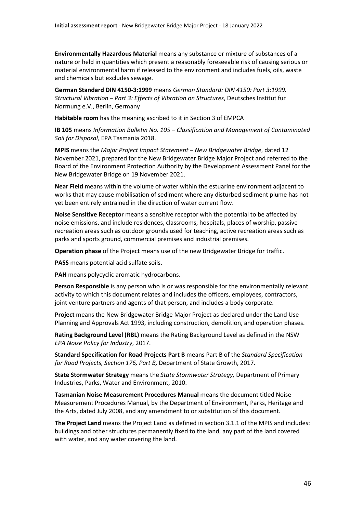**Environmentally Hazardous Material** means any substance or mixture of substances of a nature or held in quantities which present a reasonably foreseeable risk of causing serious or material environmental harm if released to the environment and includes fuels, oils, waste and chemicals but excludes sewage.

**German Standard DIN 4150-3:1999** means *German Standard: DIN 4150: Part 3:1999. Structural Vibration – Part 3: Effects of Vibration on Structures*, Deutsches Institut fur Normung e.V., Berlin, Germany

**Habitable room** has the meaning ascribed to it in Section 3 of EMPCA

**IB 105** means *Information Bulletin No. 105 – Classification and Management of Contaminated Soil for Disposal,* EPA Tasmania 2018.

**MPIS** means the *Major Project Impact Statement – New Bridgewater Bridge*, dated 12 November 2021, prepared for the New Bridgewater Bridge Major Project and referred to the Board of the Environment Protection Authority by the Development Assessment Panel for the New Bridgewater Bridge on 19 November 2021.

**Near Field** means within the volume of water within the estuarine environment adjacent to works that may cause mobilisation of sediment where any disturbed sediment plume has not yet been entirely entrained in the direction of water current flow.

**Noise Sensitive Receptor** means a sensitive receptor with the potential to be affected by noise emissions, and include residences, classrooms, hospitals, places of worship, passive recreation areas such as outdoor grounds used for teaching, active recreation areas such as parks and sports ground, commercial premises and industrial premises.

**Operation phase** of the Project means use of the new Bridgewater Bridge for traffic.

**PASS** means potential acid sulfate soils.

**PAH** means polycyclic aromatic hydrocarbons.

**Person Responsible** is any person who is or was responsible for the environmentally relevant activity to which this document relates and includes the officers, employees, contractors, joint venture partners and agents of that person, and includes a body corporate.

**Project** means the New Bridgewater Bridge Major Project as declared under the Land Use Planning and Approvals Act 1993, including construction, demolition, and operation phases.

**Rating Background Level (RBL)** means the Rating Background Level as defined in the NSW *EPA Noise Policy for Industry*, 2017.

**Standard Specification for Road Projects Part B** means Part B of the *Standard Specification for Road Projects, Section 176, Part B,* Department of State Growth, 2017.

**State Stormwater Strategy** means the *State Stormwater Strategy,* Department of Primary Industries, Parks, Water and Environment, 2010.

**Tasmanian Noise Measurement Procedures Manual** means the document titled Noise Measurement Procedures Manual, by the Department of Environment, Parks, Heritage and the Arts, dated July 2008, and any amendment to or substitution of this document.

**The Project Land** means the Project Land as defined in section 3.1.1 of the MPIS and includes: buildings and other structures permanently fixed to the land, any part of the land covered with water, and any water covering the land.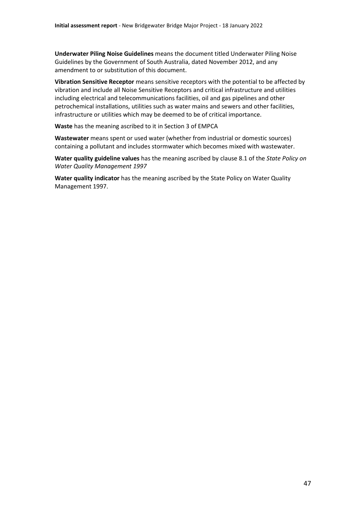**Underwater Piling Noise Guidelines** means the document titled Underwater Piling Noise Guidelines by the Government of South Australia, dated November 2012, and any amendment to or substitution of this document.

**Vibration Sensitive Receptor** means sensitive receptors with the potential to be affected by vibration and include all Noise Sensitive Receptors and critical infrastructure and utilities including electrical and telecommunications facilities, oil and gas pipelines and other petrochemical installations, utilities such as water mains and sewers and other facilities, infrastructure or utilities which may be deemed to be of critical importance.

**Waste** has the meaning ascribed to it in Section 3 of EMPCA

**Wastewater** means spent or used water (whether from industrial or domestic sources) containing a pollutant and includes stormwater which becomes mixed with wastewater.

**Water quality guideline values** has the meaning ascribed by clause 8.1 of the *State Policy on Water Quality Management 1997*

**Water quality indicator** has the meaning ascribed by the State Policy on Water Quality Management 1997.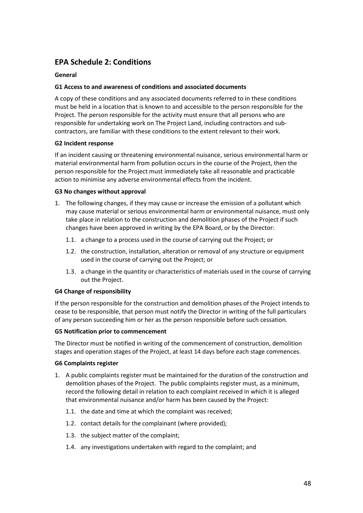# **EPA Schedule 2: Conditions**

## **General**

## **G1 Access to and awareness of conditions and associated documents**

A copy of these conditions and any associated documents referred to in these conditions must be held in a location that is known to and accessible to the person responsible for the Project. The person responsible for the activity must ensure that all persons who are responsible for undertaking work on The Project Land, including contractors and subcontractors, are familiar with these conditions to the extent relevant to their work.

## **G2 Incident response**

If an incident causing or threatening environmental nuisance, serious environmental harm or material environmental harm from pollution occurs in the course of the Project, then the person responsible for the Project must immediately take all reasonable and practicable action to minimise any adverse environmental effects from the incident.

## **G3 No changes without approval**

- 1. The following changes, if they may cause or increase the emission of a pollutant which may cause material or serious environmental harm or environmental nuisance, must only take place in relation to the construction and demolition phases of the Project if such changes have been approved in writing by the EPA Board, or by the Director:
	- 1.1. a change to a process used in the course of carrying out the Project; or
	- 1.2. the construction, installation, alteration or removal of any structure or equipment used in the course of carrying out the Project; or
	- 1.3. a change in the quantity or characteristics of materials used in the course of carrying out the Project.

## **G4 Change of responsibility**

If the person responsible for the construction and demolition phases of the Project intends to cease to be responsible, that person must notify the Director in writing of the full particulars of any person succeeding him or her as the person responsible before such cessation.

## **G5 Notification prior to commencement**

The Director must be notified in writing of the commencement of construction, demolition stages and operation stages of the Project, at least 14 days before each stage commences.

## **G6 Complaints register**

- 1. A public complaints register must be maintained for the duration of the construction and demolition phases of the Project. The public complaints register must, as a minimum, record the following detail in relation to each complaint received in which it is alleged that environmental nuisance and/or harm has been caused by the Project:
	- 1.1. the date and time at which the complaint was received;
	- 1.2. contact details for the complainant (where provided);
	- 1.3. the subject matter of the complaint;
	- 1.4. any investigations undertaken with regard to the complaint; and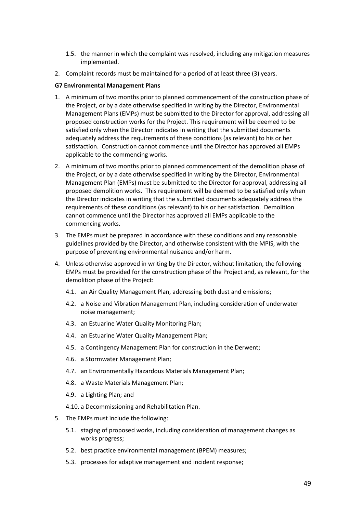- 1.5. the manner in which the complaint was resolved, including any mitigation measures implemented.
- 2. Complaint records must be maintained for a period of at least three (3) years.

## **G7 Environmental Management Plans**

- 1. A minimum of two months prior to planned commencement of the construction phase of the Project, or by a date otherwise specified in writing by the Director, Environmental Management Plans (EMPs) must be submitted to the Director for approval, addressing all proposed construction works for the Project. This requirement will be deemed to be satisfied only when the Director indicates in writing that the submitted documents adequately address the requirements of these conditions (as relevant) to his or her satisfaction. Construction cannot commence until the Director has approved all EMPs applicable to the commencing works.
- 2. A minimum of two months prior to planned commencement of the demolition phase of the Project, or by a date otherwise specified in writing by the Director, Environmental Management Plan (EMPs) must be submitted to the Director for approval, addressing all proposed demolition works. This requirement will be deemed to be satisfied only when the Director indicates in writing that the submitted documents adequately address the requirements of these conditions (as relevant) to his or her satisfaction. Demolition cannot commence until the Director has approved all EMPs applicable to the commencing works.
- 3. The EMPs must be prepared in accordance with these conditions and any reasonable guidelines provided by the Director, and otherwise consistent with the MPIS, with the purpose of preventing environmental nuisance and/or harm.
- 4. Unless otherwise approved in writing by the Director, without limitation, the following EMPs must be provided for the construction phase of the Project and, as relevant, for the demolition phase of the Project:
	- 4.1. an Air Quality Management Plan, addressing both dust and emissions;
	- 4.2. a Noise and Vibration Management Plan, including consideration of underwater noise management;
	- 4.3. an Estuarine Water Quality Monitoring Plan;
	- 4.4. an Estuarine Water Quality Management Plan;
	- 4.5. a Contingency Management Plan for construction in the Derwent;
	- 4.6. a Stormwater Management Plan;
	- 4.7. an Environmentally Hazardous Materials Management Plan;
	- 4.8. a Waste Materials Management Plan;
	- 4.9. a Lighting Plan; and
	- 4.10. a Decommissioning and Rehabilitation Plan.
- 5. The EMPs must include the following:
	- 5.1. staging of proposed works, including consideration of management changes as works progress;
	- 5.2. best practice environmental management (BPEM) measures;
	- 5.3. processes for adaptive management and incident response;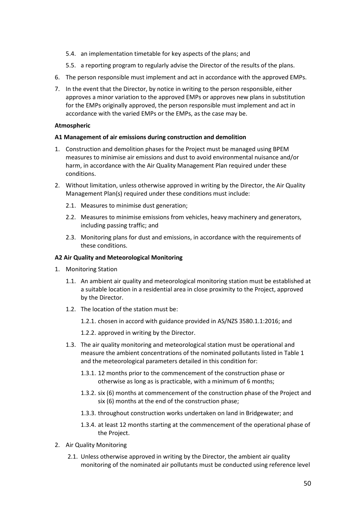- 5.4. an implementation timetable for key aspects of the plans; and
- 5.5. a reporting program to regularly advise the Director of the results of the plans.
- 6. The person responsible must implement and act in accordance with the approved EMPs.
- 7. In the event that the Director, by notice in writing to the person responsible, either approves a minor variation to the approved EMPs or approves new plans in substitution for the EMPs originally approved, the person responsible must implement and act in accordance with the varied EMPs or the EMPs, as the case may be.

## **Atmospheric**

## **A1 Management of air emissions during construction and demolition**

- 1. Construction and demolition phases for the Project must be managed using BPEM measures to minimise air emissions and dust to avoid environmental nuisance and/or harm, in accordance with the Air Quality Management Plan required under these conditions.
- 2. Without limitation, unless otherwise approved in writing by the Director, the Air Quality Management Plan(s) required under these conditions must include:
	- 2.1. Measures to minimise dust generation;
	- 2.2. Measures to minimise emissions from vehicles, heavy machinery and generators, including passing traffic; and
	- 2.3. Monitoring plans for dust and emissions, in accordance with the requirements of these conditions.

## **A2 Air Quality and Meteorological Monitoring**

- 1. Monitoring Station
	- 1.1. An ambient air quality and meteorological monitoring station must be established at a suitable location in a residential area in close proximity to the Project, approved by the Director.
	- 1.2. The location of the station must be:

1.2.1. chosen in accord with guidance provided in AS/NZS 3580.1.1:2016; and

1.2.2. approved in writing by the Director.

- 1.3. The air quality monitoring and meteorological station must be operational and measure the ambient concentrations of the nominated pollutants listed in Table 1 and the meteorological parameters detailed in this condition for:
	- 1.3.1. 12 months prior to the commencement of the construction phase or otherwise as long as is practicable, with a minimum of 6 months;
	- 1.3.2. six (6) months at commencement of the construction phase of the Project and six (6) months at the end of the construction phase;
	- 1.3.3. throughout construction works undertaken on land in Bridgewater; and
	- 1.3.4. at least 12 months starting at the commencement of the operational phase of the Project.
- 2. Air Quality Monitoring
	- 2.1. Unless otherwise approved in writing by the Director, the ambient air quality monitoring of the nominated air pollutants must be conducted using reference level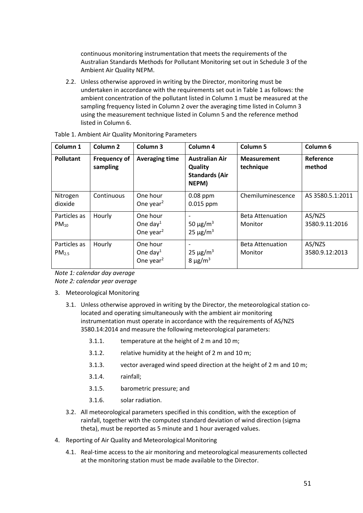continuous monitoring instrumentation that meets the requirements of the Australian Standards Methods for Pollutant Monitoring set out in Schedule 3 of the Ambient Air Quality NEPM.

2.2. Unless otherwise approved in writing by the Director, monitoring must be undertaken in accordance with the requirements set out in Table 1 as follows: the ambient concentration of the pollutant listed in Column 1 must be measured at the sampling frequency listed in Column 2 over the averaging time listed in Column 3 using the measurement technique listed in Column 5 and the reference method listed in Column 6.

| Column 1                          | Column <sub>2</sub>             | Column 3                                                  | Column <sub>4</sub>                                                | <b>Column 5</b>                    | Column <sub>6</sub>      |
|-----------------------------------|---------------------------------|-----------------------------------------------------------|--------------------------------------------------------------------|------------------------------------|--------------------------|
| <b>Pollutant</b>                  | <b>Frequency of</b><br>sampling | <b>Averaging time</b>                                     | <b>Australian Air</b><br>Quality<br><b>Standards (Air</b><br>NEPM) | <b>Measurement</b><br>technique    | Reference<br>method      |
| Nitrogen<br>dioxide               | Continuous                      | One hour<br>One year <sup>2</sup>                         | $0.08$ ppm<br>$0.015$ ppm                                          | Chemiluminescence                  | AS 3580.5.1:2011         |
| Particles as<br>$PM_{10}$         | Hourly                          | One hour<br>One day <sup>1</sup><br>One year <sup>2</sup> | 50 $\mu$ g/m <sup>3</sup><br>$25 \mu g/m^3$                        | <b>Beta Attenuation</b><br>Monitor | AS/NZS<br>3580.9.11:2016 |
| Particles as<br>PM <sub>2.5</sub> | Hourly                          | One hour<br>One day <sup>1</sup><br>One year <sup>2</sup> | $25 \mu g/m^3$<br>8 $\mu$ g/m <sup>3</sup>                         | <b>Beta Attenuation</b><br>Monitor | AS/NZS<br>3580.9.12:2013 |

| Table 1. Ambient Air Quality Monitoring Parameters |  |
|----------------------------------------------------|--|
|----------------------------------------------------|--|

*Note 1: calendar day average Note 2: calendar year average*

- 3. Meteorological Monitoring
	- 3.1. Unless otherwise approved in writing by the Director, the meteorological station colocated and operating simultaneously with the ambient air monitoring instrumentation must operate in accordance with the requirements of AS/NZS 3580.14:2014 and measure the following meteorological parameters:
		- 3.1.1. temperature at the height of 2 m and 10 m;
		- 3.1.2. relative humidity at the height of 2 m and 10 m;
		- 3.1.3. vector averaged wind speed direction at the height of 2 m and 10 m;
		- 3.1.4. rainfall;
		- 3.1.5. barometric pressure; and
		- 3.1.6. solar radiation.
	- 3.2. All meteorological parameters specified in this condition, with the exception of rainfall, together with the computed standard deviation of wind direction (sigma theta), must be reported as 5 minute and 1 hour averaged values.
- 4. Reporting of Air Quality and Meteorological Monitoring
	- 4.1. Real-time access to the air monitoring and meteorological measurements collected at the monitoring station must be made available to the Director.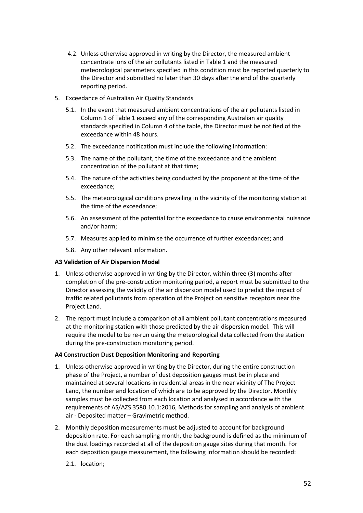- 4.2. Unless otherwise approved in writing by the Director, the measured ambient concentrate ions of the air pollutants listed in Table 1 and the measured meteorological parameters specified in this condition must be reported quarterly to the Director and submitted no later than 30 days after the end of the quarterly reporting period.
- 5. Exceedance of Australian Air Quality Standards
	- 5.1. In the event that measured ambient concentrations of the air pollutants listed in Column 1 of Table 1 exceed any of the corresponding Australian air quality standards specified in Column 4 of the table, the Director must be notified of the exceedance within 48 hours.
	- 5.2. The exceedance notification must include the following information:
	- 5.3. The name of the pollutant, the time of the exceedance and the ambient concentration of the pollutant at that time;
	- 5.4. The nature of the activities being conducted by the proponent at the time of the exceedance;
	- 5.5. The meteorological conditions prevailing in the vicinity of the monitoring station at the time of the exceedance;
	- 5.6. An assessment of the potential for the exceedance to cause environmental nuisance and/or harm;
	- 5.7. Measures applied to minimise the occurrence of further exceedances; and
	- 5.8. Any other relevant information.

## **A3 Validation of Air Dispersion Model**

- 1. Unless otherwise approved in writing by the Director, within three (3) months after completion of the pre-construction monitoring period, a report must be submitted to the Director assessing the validity of the air dispersion model used to predict the impact of traffic related pollutants from operation of the Project on sensitive receptors near the Project Land.
- 2. The report must include a comparison of all ambient pollutant concentrations measured at the monitoring station with those predicted by the air dispersion model. This will require the model to be re-run using the meteorological data collected from the station during the pre-construction monitoring period.

## **A4 Construction Dust Deposition Monitoring and Reporting**

- 1. Unless otherwise approved in writing by the Director, during the entire construction phase of the Project, a number of dust deposition gauges must be in place and maintained at several locations in residential areas in the near vicinity of The Project Land, the number and location of which are to be approved by the Director. Monthly samples must be collected from each location and analysed in accordance with the requirements of AS/AZS 3580.10.1:2016, Methods for sampling and analysis of ambient air - Deposited matter – Gravimetric method.
- 2. Monthly deposition measurements must be adjusted to account for background deposition rate. For each sampling month, the background is defined as the minimum of the dust loadings recorded at all of the deposition gauge sites during that month. For each deposition gauge measurement, the following information should be recorded:
	- 2.1. location;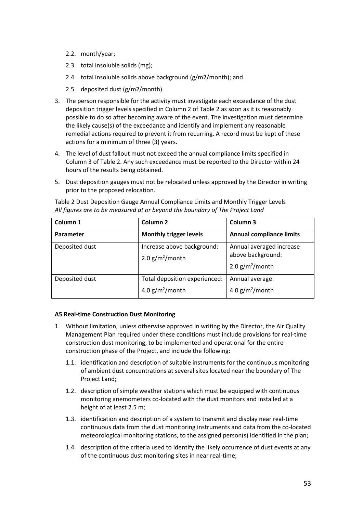- 2.2. month/year;
- 2.3. total insoluble solids (mg);
- 2.4. total insoluble solids above background (g/m2/month); and
- 2.5. deposited dust (g/m2/month).
- 3. The person responsible for the activity must investigate each exceedance of the dust deposition trigger levels specified in Column 2 of Table 2 as soon as it is reasonably possible to do so after becoming aware of the event. The investigation must determine the likely cause(s) of the exceedance and identify and implement any reasonable remedial actions required to prevent it from recurring. A record must be kept of these actions for a minimum of three (3) years.
- 4. The level of dust fallout must not exceed the annual compliance limits specified in Column 3 of Table 2. Any such exceedance must be reported to the Director within 24 hours of the results being obtained.
- 5. Dust deposition gauges must not be relocated unless approved by the Director in writing prior to the proposed relocation.

| Column 1       | Column <sub>2</sub>                                 | Column 3                                                            |  |
|----------------|-----------------------------------------------------|---------------------------------------------------------------------|--|
| Parameter      | <b>Monthly trigger levels</b>                       | <b>Annual compliance limits</b>                                     |  |
| Deposited dust | Increase above background:<br>2.0 $g/m^2$ /month    | Annual averaged increase<br>above background:<br>2.0 $g/m^2$ /month |  |
| Deposited dust | Total deposition experienced:<br>4.0 $g/m^2$ /month | Annual average:<br>4.0 $g/m^2$ /month                               |  |

Table 2 Dust Deposition Gauge Annual Compliance Limits and Monthly Trigger Levels *All figures are to be measured at or beyond the boundary of The Project Land*

## **A5 Real-time Construction Dust Monitoring**

- 1. Without limitation, unless otherwise approved in writing by the Director, the Air Quality Management Plan required under these conditions must include provisions for real-time construction dust monitoring, to be implemented and operational for the entire construction phase of the Project, and include the following:
	- 1.1. identification and description of suitable instruments for the continuous monitoring of ambient dust concentrations at several sites located near the boundary of The Project Land;
	- 1.2. description of simple weather stations which must be equipped with continuous monitoring anemometers co-located with the dust monitors and installed at a height of at least 2.5 m;
	- 1.3. identification and description of a system to transmit and display near real-time continuous data from the dust monitoring instruments and data from the co-located meteorological monitoring stations, to the assigned person(s) identified in the plan;
	- 1.4. description of the criteria used to identify the likely occurrence of dust events at any of the continuous dust monitoring sites in near real-time;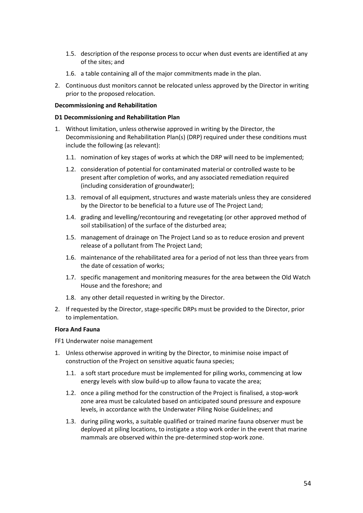- 1.5. description of the response process to occur when dust events are identified at any of the sites; and
- 1.6. a table containing all of the major commitments made in the plan.
- 2. Continuous dust monitors cannot be relocated unless approved by the Director in writing prior to the proposed relocation.

#### **Decommissioning and Rehabilitation**

#### **D1 Decommissioning and Rehabilitation Plan**

- 1. Without limitation, unless otherwise approved in writing by the Director, the Decommissioning and Rehabilitation Plan(s) (DRP) required under these conditions must include the following (as relevant):
	- 1.1. nomination of key stages of works at which the DRP will need to be implemented;
	- 1.2. consideration of potential for contaminated material or controlled waste to be present after completion of works, and any associated remediation required (including consideration of groundwater);
	- 1.3. removal of all equipment, structures and waste materials unless they are considered by the Director to be beneficial to a future use of The Project Land;
	- 1.4. grading and levelling/recontouring and revegetating (or other approved method of soil stabilisation) of the surface of the disturbed area;
	- 1.5. management of drainage on The Project Land so as to reduce erosion and prevent release of a pollutant from The Project Land;
	- 1.6. maintenance of the rehabilitated area for a period of not less than three years from the date of cessation of works;
	- 1.7. specific management and monitoring measures for the area between the Old Watch House and the foreshore; and
	- 1.8. any other detail requested in writing by the Director.
- 2. If requested by the Director, stage-specific DRPs must be provided to the Director, prior to implementation.

## **Flora And Fauna**

FF1 Underwater noise management

- 1. Unless otherwise approved in writing by the Director, to minimise noise impact of construction of the Project on sensitive aquatic fauna species;
	- 1.1. a soft start procedure must be implemented for piling works, commencing at low energy levels with slow build-up to allow fauna to vacate the area;
	- 1.2. once a piling method for the construction of the Project is finalised, a stop-work zone area must be calculated based on anticipated sound pressure and exposure levels, in accordance with the Underwater Piling Noise Guidelines; and
	- 1.3. during piling works, a suitable qualified or trained marine fauna observer must be deployed at piling locations, to instigate a stop work order in the event that marine mammals are observed within the pre-determined stop-work zone.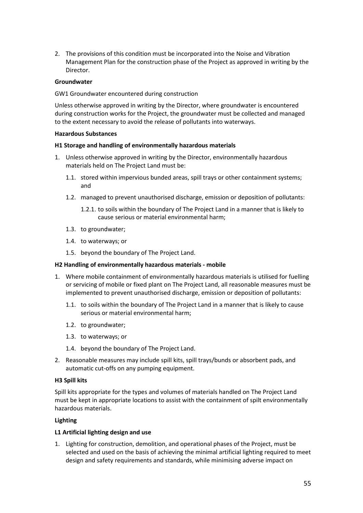2. The provisions of this condition must be incorporated into the Noise and Vibration Management Plan for the construction phase of the Project as approved in writing by the Director.

## **Groundwater**

## GW1 Groundwater encountered during construction

Unless otherwise approved in writing by the Director, where groundwater is encountered during construction works for the Project, the groundwater must be collected and managed to the extent necessary to avoid the release of pollutants into waterways.

#### **Hazardous Substances**

#### **H1 Storage and handling of environmentally hazardous materials**

- 1. Unless otherwise approved in writing by the Director, environmentally hazardous materials held on The Project Land must be:
	- 1.1. stored within impervious bunded areas, spill trays or other containment systems; and
	- 1.2. managed to prevent unauthorised discharge, emission or deposition of pollutants:
		- 1.2.1. to soils within the boundary of The Project Land in a manner that is likely to cause serious or material environmental harm;
	- 1.3. to groundwater;
	- 1.4. to waterways; or
	- 1.5. beyond the boundary of The Project Land.

#### **H2 Handling of environmentally hazardous materials - mobile**

- 1. Where mobile containment of environmentally hazardous materials is utilised for fuelling or servicing of mobile or fixed plant on The Project Land, all reasonable measures must be implemented to prevent unauthorised discharge, emission or deposition of pollutants:
	- 1.1. to soils within the boundary of The Project Land in a manner that is likely to cause serious or material environmental harm;
	- 1.2. to groundwater;
	- 1.3. to waterways; or
	- 1.4. beyond the boundary of The Project Land.
- 2. Reasonable measures may include spill kits, spill trays/bunds or absorbent pads, and automatic cut-offs on any pumping equipment.

#### **H3 Spill kits**

Spill kits appropriate for the types and volumes of materials handled on The Project Land must be kept in appropriate locations to assist with the containment of spilt environmentally hazardous materials.

## **Lighting**

## **L1 Artificial lighting design and use**

1. Lighting for construction, demolition, and operational phases of the Project, must be selected and used on the basis of achieving the minimal artificial lighting required to meet design and safety requirements and standards, while minimising adverse impact on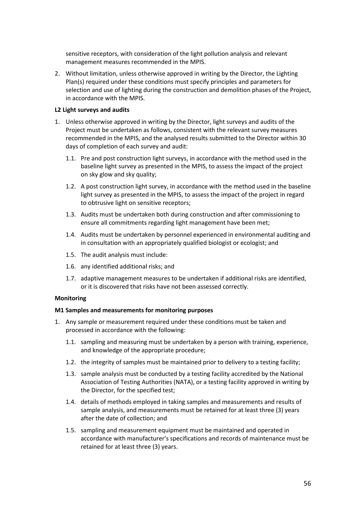sensitive receptors, with consideration of the light pollution analysis and relevant management measures recommended in the MPIS.

2. Without limitation, unless otherwise approved in writing by the Director, the Lighting Plan(s) required under these conditions must specify principles and parameters for selection and use of lighting during the construction and demolition phases of the Project, in accordance with the MPIS.

#### **L2 Light surveys and audits**

- 1. Unless otherwise approved in writing by the Director, light surveys and audits of the Project must be undertaken as follows, consistent with the relevant survey measures recommended in the MPIS, and the analysed results submitted to the Director within 30 days of completion of each survey and audit:
	- 1.1. Pre and post construction light surveys, in accordance with the method used in the baseline light survey as presented in the MPIS, to assess the impact of the project on sky glow and sky quality;
	- 1.2. A post construction light survey, in accordance with the method used in the baseline light survey as presented in the MPIS, to assess the impact of the project in regard to obtrusive light on sensitive receptors;
	- 1.3. Audits must be undertaken both during construction and after commissioning to ensure all commitments regarding light management have been met;
	- 1.4. Audits must be undertaken by personnel experienced in environmental auditing and in consultation with an appropriately qualified biologist or ecologist; and
	- 1.5. The audit analysis must include:
	- 1.6. any identified additional risks; and
	- 1.7. adaptive management measures to be undertaken if additional risks are identified, or it is discovered that risks have not been assessed correctly.

#### **Monitoring**

#### **M1 Samples and measurements for monitoring purposes**

- 1. Any sample or measurement required under these conditions must be taken and processed in accordance with the following:
	- 1.1. sampling and measuring must be undertaken by a person with training, experience, and knowledge of the appropriate procedure;
	- 1.2. the integrity of samples must be maintained prior to delivery to a testing facility;
	- 1.3. sample analysis must be conducted by a testing facility accredited by the National Association of Testing Authorities (NATA), or a testing facility approved in writing by the Director, for the specified test;
	- 1.4. details of methods employed in taking samples and measurements and results of sample analysis, and measurements must be retained for at least three (3) years after the date of collection; and
	- 1.5. sampling and measurement equipment must be maintained and operated in accordance with manufacturer's specifications and records of maintenance must be retained for at least three (3) years.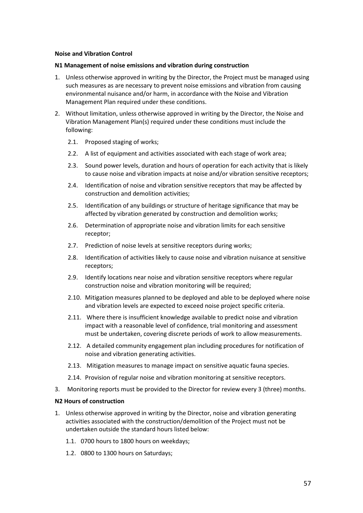#### **Noise and Vibration Control**

#### **N1 Management of noise emissions and vibration during construction**

- 1. Unless otherwise approved in writing by the Director, the Project must be managed using such measures as are necessary to prevent noise emissions and vibration from causing environmental nuisance and/or harm, in accordance with the Noise and Vibration Management Plan required under these conditions.
- 2. Without limitation, unless otherwise approved in writing by the Director, the Noise and Vibration Management Plan(s) required under these conditions must include the following:
	- 2.1. Proposed staging of works;
	- 2.2. A list of equipment and activities associated with each stage of work area;
	- 2.3. Sound power levels, duration and hours of operation for each activity that is likely to cause noise and vibration impacts at noise and/or vibration sensitive receptors;
	- 2.4. Identification of noise and vibration sensitive receptors that may be affected by construction and demolition activities;
	- 2.5. Identification of any buildings or structure of heritage significance that may be affected by vibration generated by construction and demolition works;
	- 2.6. Determination of appropriate noise and vibration limits for each sensitive receptor;
	- 2.7. Prediction of noise levels at sensitive receptors during works;
	- 2.8. Identification of activities likely to cause noise and vibration nuisance at sensitive receptors;
	- 2.9. Identify locations near noise and vibration sensitive receptors where regular construction noise and vibration monitoring will be required;
	- 2.10. Mitigation measures planned to be deployed and able to be deployed where noise and vibration levels are expected to exceed noise project specific criteria.
	- 2.11. Where there is insufficient knowledge available to predict noise and vibration impact with a reasonable level of confidence, trial monitoring and assessment must be undertaken, covering discrete periods of work to allow measurements.
	- 2.12. A detailed community engagement plan including procedures for notification of noise and vibration generating activities.
	- 2.13. Mitigation measures to manage impact on sensitive aquatic fauna species.
	- 2.14. Provision of regular noise and vibration monitoring at sensitive receptors.
- 3. Monitoring reports must be provided to the Director for review every 3 (three) months.

## **N2 Hours of construction**

- 1. Unless otherwise approved in writing by the Director, noise and vibration generating activities associated with the construction/demolition of the Project must not be undertaken outside the standard hours listed below:
	- 1.1. 0700 hours to 1800 hours on weekdays;
	- 1.2. 0800 to 1300 hours on Saturdays;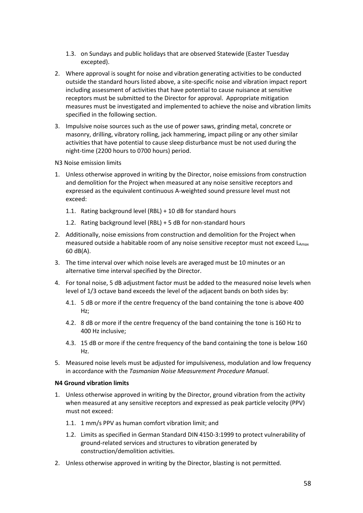- 1.3. on Sundays and public holidays that are observed Statewide (Easter Tuesday excepted).
- 2. Where approval is sought for noise and vibration generating activities to be conducted outside the standard hours listed above, a site-specific noise and vibration impact report including assessment of activities that have potential to cause nuisance at sensitive receptors must be submitted to the Director for approval. Appropriate mitigation measures must be investigated and implemented to achieve the noise and vibration limits specified in the following section.
- 3. Impulsive noise sources such as the use of power saws, grinding metal, concrete or masonry, drilling, vibratory rolling, jack hammering, impact piling or any other similar activities that have potential to cause sleep disturbance must be not used during the night-time (2200 hours to 0700 hours) period.

N3 Noise emission limits

- 1. Unless otherwise approved in writing by the Director, noise emissions from construction and demolition for the Project when measured at any noise sensitive receptors and expressed as the equivalent continuous A-weighted sound pressure level must not exceed:
	- 1.1. Rating background level (RBL) + 10 dB for standard hours
	- 1.2. Rating background level (RBL) + 5 dB for non-standard hours
- 2. Additionally, noise emissions from construction and demolition for the Project when measured outside a habitable room of any noise sensitive receptor must not exceed  $L_{Amax}$ 60 dB(A).
- 3. The time interval over which noise levels are averaged must be 10 minutes or an alternative time interval specified by the Director.
- 4. For tonal noise, 5 dB adjustment factor must be added to the measured noise levels when level of 1/3 octave band exceeds the level of the adjacent bands on both sides by:
	- 4.1. 5 dB or more if the centre frequency of the band containing the tone is above 400 Hz;
	- 4.2. 8 dB or more if the centre frequency of the band containing the tone is 160 Hz to 400 Hz inclusive;
	- 4.3. 15 dB or more if the centre frequency of the band containing the tone is below 160 Hz.
- 5. Measured noise levels must be adjusted for impulsiveness, modulation and low frequency in accordance with the *Tasmanian Noise Measurement Procedure Manual*.

#### **N4 Ground vibration limits**

- 1. Unless otherwise approved in writing by the Director, ground vibration from the activity when measured at any sensitive receptors and expressed as peak particle velocity (PPV) must not exceed:
	- 1.1. 1 mm/s PPV as human comfort vibration limit; and
	- 1.2. Limits as specified in German Standard DIN 4150-3:1999 to protect vulnerability of ground-related services and structures to vibration generated by construction/demolition activities.
- 2. Unless otherwise approved in writing by the Director, blasting is not permitted.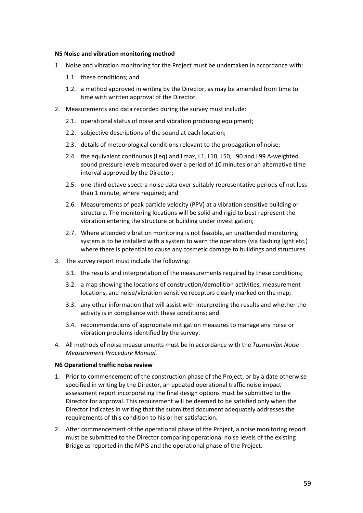#### **N5 Noise and vibration monitoring method**

- 1. Noise and vibration monitoring for the Project must be undertaken in accordance with:
	- 1.1. these conditions; and
	- 1.2. a method approved in writing by the Director, as may be amended from time to time with written approval of the Director.
- 2. Measurements and data recorded during the survey must include:
	- 2.1. operational status of noise and vibration producing equipment;
	- 2.2. subjective descriptions of the sound at each location;
	- 2.3. details of meteorological conditions relevant to the propagation of noise;
	- 2.4. the equivalent continuous (Leq) and Lmax, L1, L10, L50, L90 and L99 A-weighted sound pressure levels measured over a period of 10 minutes or an alternative time interval approved by the Director;
	- 2.5. one-third octave spectra noise data over suitably representative periods of not less than 1 minute, where required; and
	- 2.6. Measurements of peak particle velocity (PPV) at a vibration sensitive building or structure. The monitoring locations will be solid and rigid to best represent the vibration entering the structure or building under investigation;
	- 2.7. Where attended vibration monitoring is not feasible, an unattended monitoring system is to be installed with a system to warn the operators (via flashing light etc.) where there is potential to cause any cosmetic damage to buildings and structures.
- 3. The survey report must include the following:
	- 3.1. the results and interpretation of the measurements required by these conditions;
	- 3.2. a map showing the locations of construction/demolition activities, measurement locations, and noise/vibration sensitive receptors clearly marked on the map;
	- 3.3. any other information that will assist with interpreting the results and whether the activity is in compliance with these conditions; and
	- 3.4. recommendations of appropriate mitigation measures to manage any noise or vibration problems identified by the survey.
- 4. All methods of noise measurements must be in accordance with the *Tasmanian Noise Measurement Procedure Manual.*

#### **N6 Operational traffic noise review**

- 1. Prior to commencement of the construction phase of the Project, or by a date otherwise specified in writing by the Director, an updated operational traffic noise impact assessment report incorporating the final design options must be submitted to the Director for approval. This requirement will be deemed to be satisfied only when the Director indicates in writing that the submitted document adequately addresses the requirements of this condition to his or her satisfaction.
- 2. After commencement of the operational phase of the Project, a noise monitoring report must be submitted to the Director comparing operational noise levels of the existing Bridge as reported in the MPIS and the operational phase of the Project.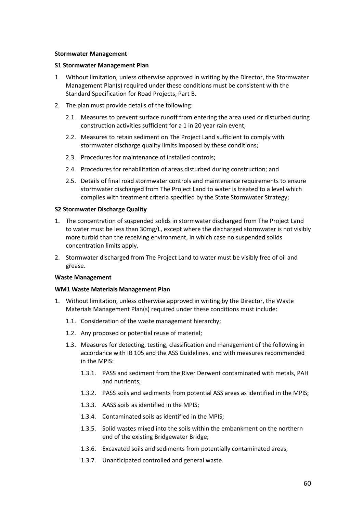#### **Stormwater Management**

#### **S1 Stormwater Management Plan**

- 1. Without limitation, unless otherwise approved in writing by the Director, the Stormwater Management Plan(s) required under these conditions must be consistent with the Standard Specification for Road Projects, Part B.
- 2. The plan must provide details of the following:
	- 2.1. Measures to prevent surface runoff from entering the area used or disturbed during construction activities sufficient for a 1 in 20 year rain event;
	- 2.2. Measures to retain sediment on The Project Land sufficient to comply with stormwater discharge quality limits imposed by these conditions;
	- 2.3. Procedures for maintenance of installed controls;
	- 2.4. Procedures for rehabilitation of areas disturbed during construction; and
	- 2.5. Details of final road stormwater controls and maintenance requirements to ensure stormwater discharged from The Project Land to water is treated to a level which complies with treatment criteria specified by the State Stormwater Strategy;

## **S2 Stormwater Discharge Quality**

- 1. The concentration of suspended solids in stormwater discharged from The Project Land to water must be less than 30mg/L, except where the discharged stormwater is not visibly more turbid than the receiving environment, in which case no suspended solids concentration limits apply.
- 2. Stormwater discharged from The Project Land to water must be visibly free of oil and grease.

## **Waste Management**

## **WM1 Waste Materials Management Plan**

- 1. Without limitation, unless otherwise approved in writing by the Director, the Waste Materials Management Plan(s) required under these conditions must include:
	- 1.1. Consideration of the waste management hierarchy;
	- 1.2. Any proposed or potential reuse of material;
	- 1.3. Measures for detecting, testing, classification and management of the following in accordance with IB 105 and the ASS Guidelines, and with measures recommended in the MPIS:
		- 1.3.1. PASS and sediment from the River Derwent contaminated with metals, PAH and nutrients;
		- 1.3.2. PASS soils and sediments from potential ASS areas as identified in the MPIS;
		- 1.3.3. AASS soils as identified in the MPIS;
		- 1.3.4. Contaminated soils as identified in the MPIS;
		- 1.3.5. Solid wastes mixed into the soils within the embankment on the northern end of the existing Bridgewater Bridge;
		- 1.3.6. Excavated soils and sediments from potentially contaminated areas;
		- 1.3.7. Unanticipated controlled and general waste.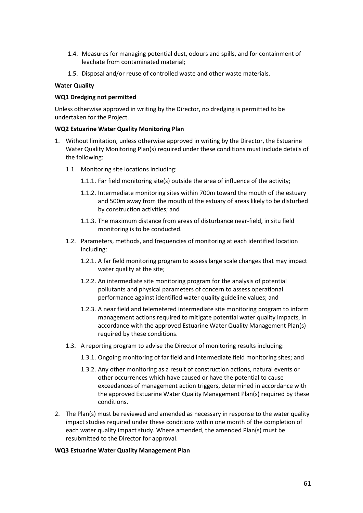- 1.4. Measures for managing potential dust, odours and spills, and for containment of leachate from contaminated material;
- 1.5. Disposal and/or reuse of controlled waste and other waste materials.

## **Water Quality**

## **WQ1 Dredging not permitted**

Unless otherwise approved in writing by the Director, no dredging is permitted to be undertaken for the Project.

## **WQ2 Estuarine Water Quality Monitoring Plan**

- 1. Without limitation, unless otherwise approved in writing by the Director, the Estuarine Water Quality Monitoring Plan(s) required under these conditions must include details of the following:
	- 1.1. Monitoring site locations including:
		- 1.1.1. Far field monitoring site(s) outside the area of influence of the activity;
		- 1.1.2. Intermediate monitoring sites within 700m toward the mouth of the estuary and 500m away from the mouth of the estuary of areas likely to be disturbed by construction activities; and
		- 1.1.3. The maximum distance from areas of disturbance near-field, in situ field monitoring is to be conducted.
	- 1.2. Parameters, methods, and frequencies of monitoring at each identified location including:
		- 1.2.1. A far field monitoring program to assess large scale changes that may impact water quality at the site;
		- 1.2.2. An intermediate site monitoring program for the analysis of potential pollutants and physical parameters of concern to assess operational performance against identified water quality guideline values; and
		- 1.2.3. A near field and telemetered intermediate site monitoring program to inform management actions required to mitigate potential water quality impacts, in accordance with the approved Estuarine Water Quality Management Plan(s) required by these conditions.
	- 1.3. A reporting program to advise the Director of monitoring results including:
		- 1.3.1. Ongoing monitoring of far field and intermediate field monitoring sites; and
		- 1.3.2. Any other monitoring as a result of construction actions, natural events or other occurrences which have caused or have the potential to cause exceedances of management action triggers, determined in accordance with the approved Estuarine Water Quality Management Plan(s) required by these conditions.
- 2. The Plan(s) must be reviewed and amended as necessary in response to the water quality impact studies required under these conditions within one month of the completion of each water quality impact study. Where amended, the amended Plan(s) must be resubmitted to the Director for approval.

## **WQ3 Estuarine Water Quality Management Plan**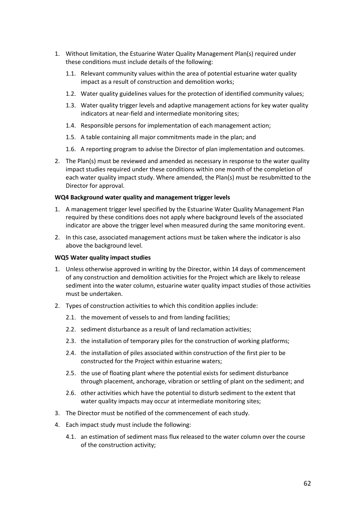- 1. Without limitation, the Estuarine Water Quality Management Plan(s) required under these conditions must include details of the following:
	- 1.1. Relevant community values within the area of potential estuarine water quality impact as a result of construction and demolition works;
	- 1.2. Water quality guidelines values for the protection of identified community values;
	- 1.3. Water quality trigger levels and adaptive management actions for key water quality indicators at near-field and intermediate monitoring sites;
	- 1.4. Responsible persons for implementation of each management action;
	- 1.5. A table containing all major commitments made in the plan; and
	- 1.6. A reporting program to advise the Director of plan implementation and outcomes.
- 2. The Plan(s) must be reviewed and amended as necessary in response to the water quality impact studies required under these conditions within one month of the completion of each water quality impact study. Where amended, the Plan(s) must be resubmitted to the Director for approval.

## **WQ4 Background water quality and management trigger levels**

- 1. A management trigger level specified by the Estuarine Water Quality Management Plan required by these conditions does not apply where background levels of the associated indicator are above the trigger level when measured during the same monitoring event.
- 2. In this case, associated management actions must be taken where the indicator is also above the background level.

#### **WQ5 Water quality impact studies**

- 1. Unless otherwise approved in writing by the Director, within 14 days of commencement of any construction and demolition activities for the Project which are likely to release sediment into the water column, estuarine water quality impact studies of those activities must be undertaken.
- 2. Types of construction activities to which this condition applies include:
	- 2.1. the movement of vessels to and from landing facilities;
	- 2.2. sediment disturbance as a result of land reclamation activities;
	- 2.3. the installation of temporary piles for the construction of working platforms;
	- 2.4. the installation of piles associated within construction of the first pier to be constructed for the Project within estuarine waters;
	- 2.5. the use of floating plant where the potential exists for sediment disturbance through placement, anchorage, vibration or settling of plant on the sediment; and
	- 2.6. other activities which have the potential to disturb sediment to the extent that water quality impacts may occur at intermediate monitoring sites;
- 3. The Director must be notified of the commencement of each study.
- 4. Each impact study must include the following:
	- 4.1. an estimation of sediment mass flux released to the water column over the course of the construction activity;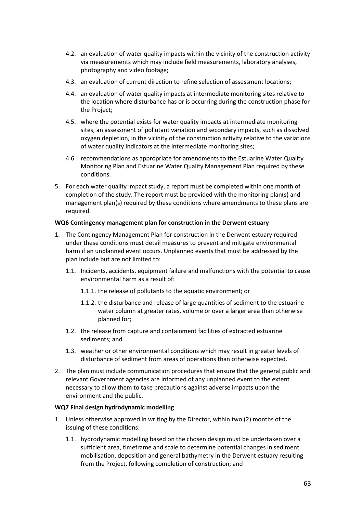- 4.2. an evaluation of water quality impacts within the vicinity of the construction activity via measurements which may include field measurements, laboratory analyses, photography and video footage;
- 4.3. an evaluation of current direction to refine selection of assessment locations;
- 4.4. an evaluation of water quality impacts at intermediate monitoring sites relative to the location where disturbance has or is occurring during the construction phase for the Project;
- 4.5. where the potential exists for water quality impacts at intermediate monitoring sites, an assessment of pollutant variation and secondary impacts, such as dissolved oxygen depletion, in the vicinity of the construction activity relative to the variations of water quality indicators at the intermediate monitoring sites;
- 4.6. recommendations as appropriate for amendments to the Estuarine Water Quality Monitoring Plan and Estuarine Water Quality Management Plan required by these conditions.
- 5. For each water quality impact study, a report must be completed within one month of completion of the study. The report must be provided with the monitoring plan(s) and management plan(s) required by these conditions where amendments to these plans are required.

## **WQ6 Contingency management plan for construction in the Derwent estuary**

- 1. The Contingency Management Plan for construction in the Derwent estuary required under these conditions must detail measures to prevent and mitigate environmental harm if an unplanned event occurs. Unplanned events that must be addressed by the plan include but are not limited to:
	- 1.1. Incidents, accidents, equipment failure and malfunctions with the potential to cause environmental harm as a result of:
		- 1.1.1. the release of pollutants to the aquatic environment; or
		- 1.1.2. the disturbance and release of large quantities of sediment to the estuarine water column at greater rates, volume or over a larger area than otherwise planned for;
	- 1.2. the release from capture and containment facilities of extracted estuarine sediments; and
	- 1.3. weather or other environmental conditions which may result in greater levels of disturbance of sediment from areas of operations than otherwise expected.
- 2. The plan must include communication procedures that ensure that the general public and relevant Government agencies are informed of any unplanned event to the extent necessary to allow them to take precautions against adverse impacts upon the environment and the public.

## **WQ7 Final design hydrodynamic modelling**

- 1. Unless otherwise approved in writing by the Director, within two (2) months of the issuing of these conditions:
	- 1.1. hydrodynamic modelling based on the chosen design must be undertaken over a sufficient area, timeframe and scale to determine potential changes in sediment mobilisation, deposition and general bathymetry in the Derwent estuary resulting from the Project, following completion of construction; and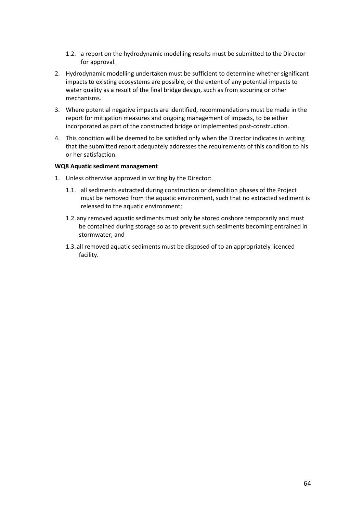- 1.2. a report on the hydrodynamic modelling results must be submitted to the Director for approval.
- 2. Hydrodynamic modelling undertaken must be sufficient to determine whether significant impacts to existing ecosystems are possible, or the extent of any potential impacts to water quality as a result of the final bridge design, such as from scouring or other mechanisms.
- 3. Where potential negative impacts are identified, recommendations must be made in the report for mitigation measures and ongoing management of impacts, to be either incorporated as part of the constructed bridge or implemented post-construction.
- 4. This condition will be deemed to be satisfied only when the Director indicates in writing that the submitted report adequately addresses the requirements of this condition to his or her satisfaction.

#### **WQ8 Aquatic sediment management**

- 1. Unless otherwise approved in writing by the Director:
	- 1.1. all sediments extracted during construction or demolition phases of the Project must be removed from the aquatic environment, such that no extracted sediment is released to the aquatic environment;
	- 1.2.any removed aquatic sediments must only be stored onshore temporarily and must be contained during storage so as to prevent such sediments becoming entrained in stormwater; and
	- 1.3.all removed aquatic sediments must be disposed of to an appropriately licenced facility.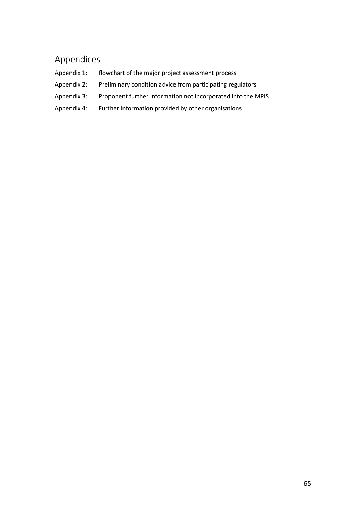# <span id="page-66-0"></span>Appendices

- Appendix 1: flowchart of the major project assessment process
- Appendix 2: Preliminary condition advice from participating regulators
- Appendix 3: Proponent further information not incorporated into the MPIS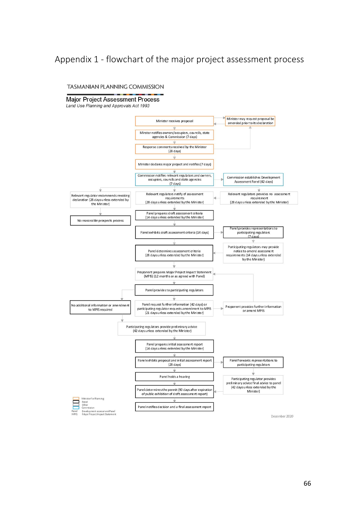# <span id="page-67-0"></span>Appendix 1 - flowchart of the major project assessment process

#### TASMANIAN PLANNING COMMISSION

## **Major Project Assessment Process**

Land Use Planning and Approvals Act 1993



December 2020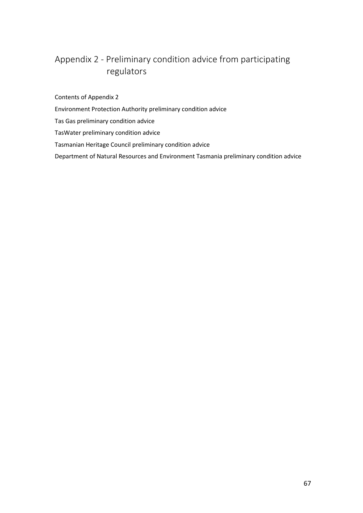# <span id="page-68-0"></span>Appendix 2 - Preliminary condition advice from participating regulators

Contents of Appendix 2

- Environment Protection Authority preliminary condition advice
- Tas Gas preliminary condition advice

TasWater preliminary condition advice

## Tasmanian Heritage Council preliminary condition advice

Department of Natural Resources and Environment Tasmania preliminary condition advice